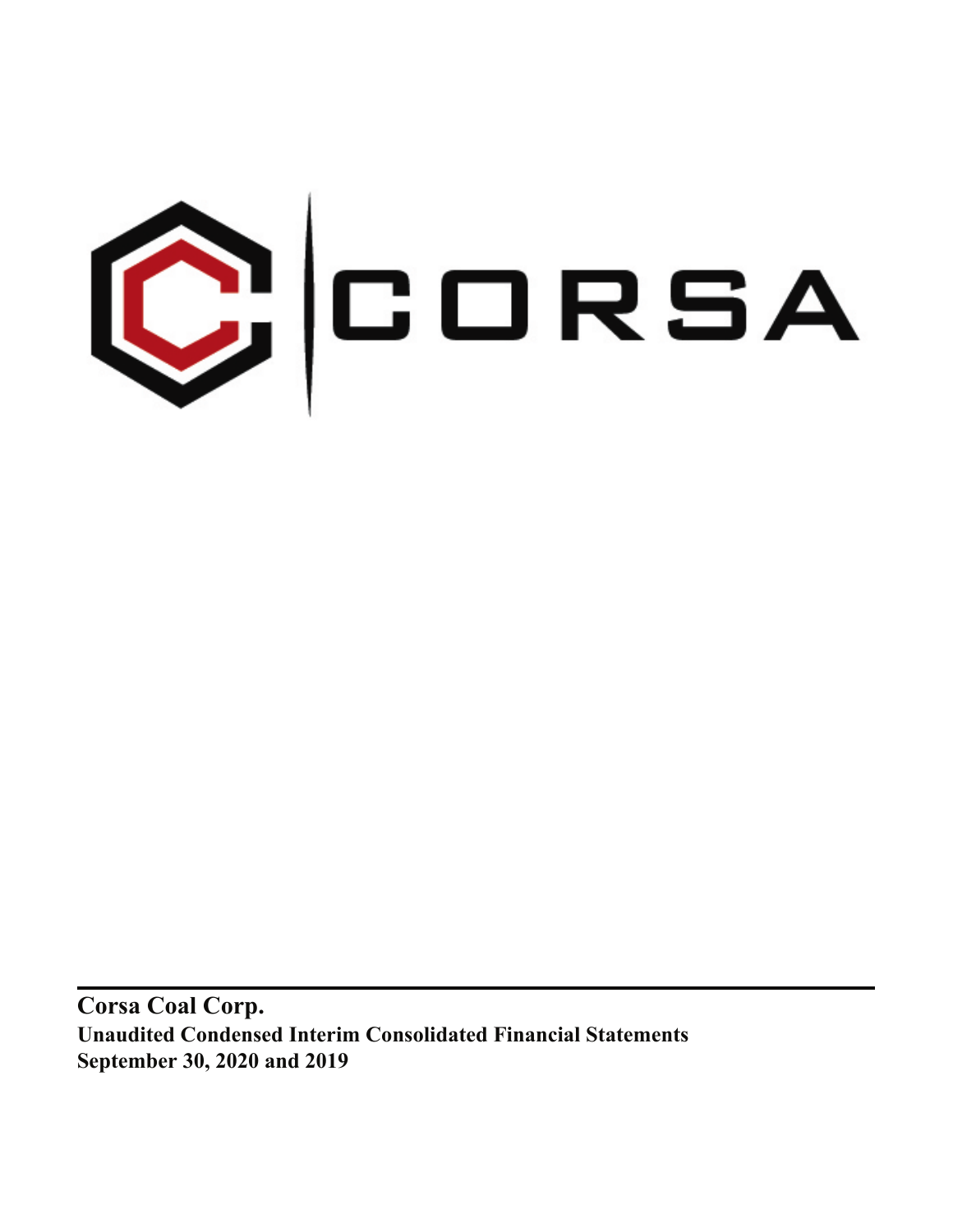

**Corsa Coal Corp. Unaudited Condensed Interim Consolidated Financial Statements September 30, 2020 and 2019**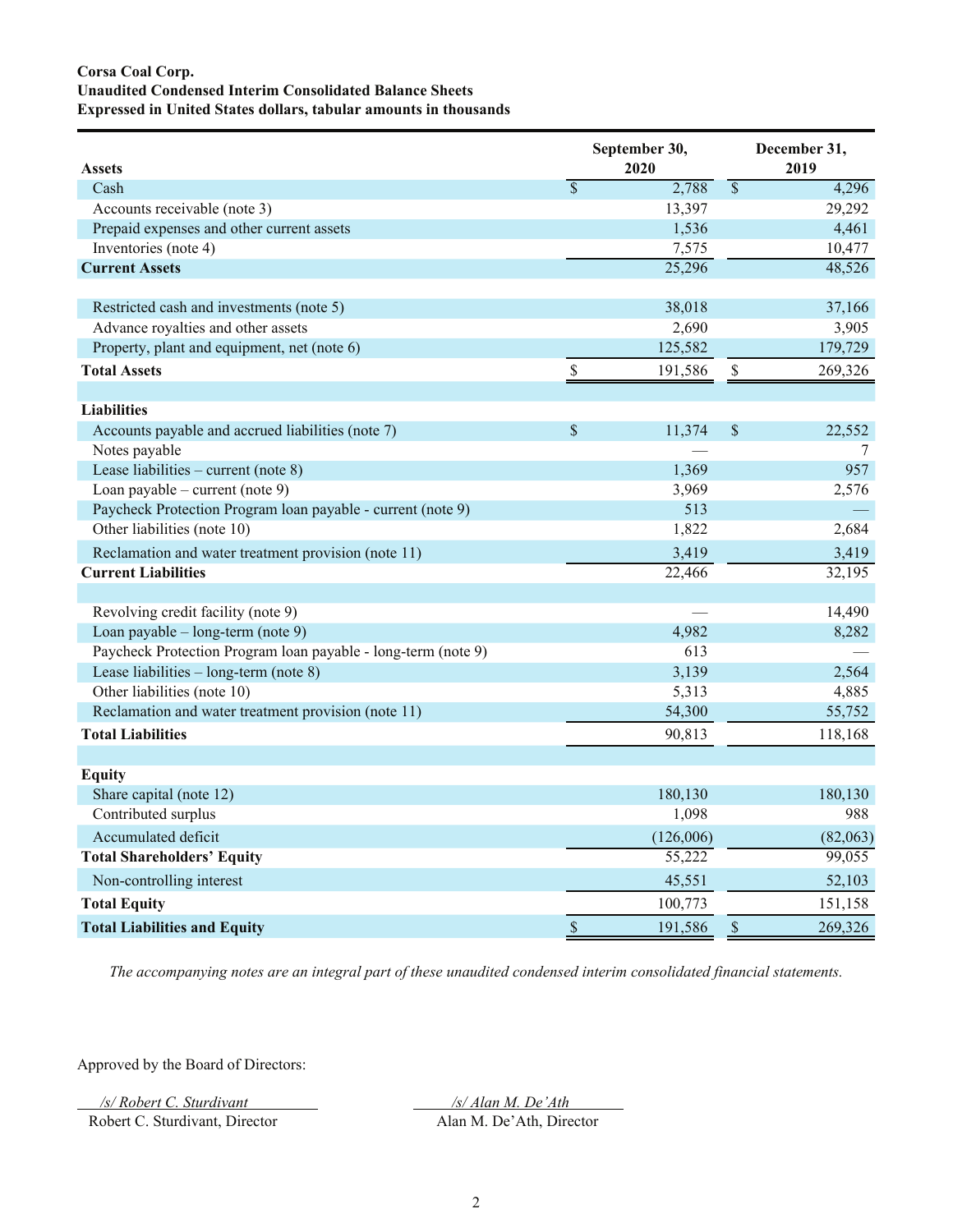# **Corsa Coal Corp. Unaudited Condensed Interim Consolidated Balance Sheets Expressed in United States dollars, tabular amounts in thousands**

| <b>Assets</b>                                                 |                           | September 30,<br>2020 |                           | December 31,<br>2019 |
|---------------------------------------------------------------|---------------------------|-----------------------|---------------------------|----------------------|
| Cash                                                          | $\overline{\mathcal{S}}$  | 2,788                 | $\overline{\$}$           | 4,296                |
| Accounts receivable (note 3)                                  |                           | 13,397                |                           | 29,292               |
| Prepaid expenses and other current assets                     |                           | 1,536                 |                           | 4,461                |
| Inventories (note 4)                                          |                           | 7,575                 |                           | 10,477               |
| <b>Current Assets</b>                                         |                           | 25,296                |                           | 48,526               |
|                                                               |                           |                       |                           |                      |
| Restricted cash and investments (note 5)                      |                           | 38,018                |                           | 37,166               |
| Advance royalties and other assets                            |                           | 2,690                 |                           | 3,905                |
| Property, plant and equipment, net (note 6)                   |                           | 125,582               |                           | 179,729              |
| <b>Total Assets</b>                                           | $\boldsymbol{\mathsf{S}}$ | 191,586               | $\boldsymbol{\mathsf{S}}$ | 269,326              |
| <b>Liabilities</b>                                            |                           |                       |                           |                      |
|                                                               |                           |                       |                           |                      |
| Accounts payable and accrued liabilities (note 7)             | \$                        | 11,374                | \$                        | 22,552               |
| Notes payable<br>Lease liabilities – current (note $8$ )      |                           |                       |                           | 7                    |
|                                                               |                           | 1,369                 |                           | 957                  |
| Loan payable – current (note 9)                               |                           | 3,969<br>513          |                           | 2,576                |
| Paycheck Protection Program loan payable - current (note 9)   |                           |                       |                           | 2,684                |
| Other liabilities (note 10)                                   |                           | 1,822                 |                           |                      |
| Reclamation and water treatment provision (note 11)           |                           | 3,419                 |                           | 3,419                |
| <b>Current Liabilities</b>                                    |                           | 22,466                |                           | 32,195               |
| Revolving credit facility (note 9)                            |                           |                       |                           | 14,490               |
| Loan payable – long-term (note 9)                             |                           | 4,982                 |                           | 8,282                |
| Paycheck Protection Program loan payable - long-term (note 9) |                           | 613                   |                           |                      |
| Lease liabilities $-$ long-term (note 8)                      |                           | 3,139                 |                           | 2,564                |
| Other liabilities (note 10)                                   |                           | 5,313                 |                           | 4,885                |
| Reclamation and water treatment provision (note 11)           |                           | 54,300                |                           | 55,752               |
| <b>Total Liabilities</b>                                      |                           | 90,813                |                           | 118,168              |
|                                                               |                           |                       |                           |                      |
| <b>Equity</b>                                                 |                           |                       |                           |                      |
| Share capital (note 12)                                       |                           | 180,130               |                           | 180,130              |
| Contributed surplus                                           |                           | 1,098                 |                           | 988                  |
| Accumulated deficit                                           |                           | (126,006)             |                           | (82,063)             |
| <b>Total Shareholders' Equity</b>                             |                           | 55,222                |                           | 99,055               |
| Non-controlling interest                                      |                           | 45,551                |                           | 52,103               |
| <b>Total Equity</b>                                           |                           | 100,773               |                           | 151,158              |
| <b>Total Liabilities and Equity</b>                           | $\boldsymbol{\mathbb{S}}$ | 191,586               | $\mathbb{S}$              | 269,326              |

*The accompanying notes are an integral part of these unaudited condensed interim consolidated financial statements.*

Approved by the Board of Directors:

*/s/ Robert C. Sturdivant /s/ Alan M. De'Ath* 

Robert C. Sturdivant, Director Alan M. De'Ath, Director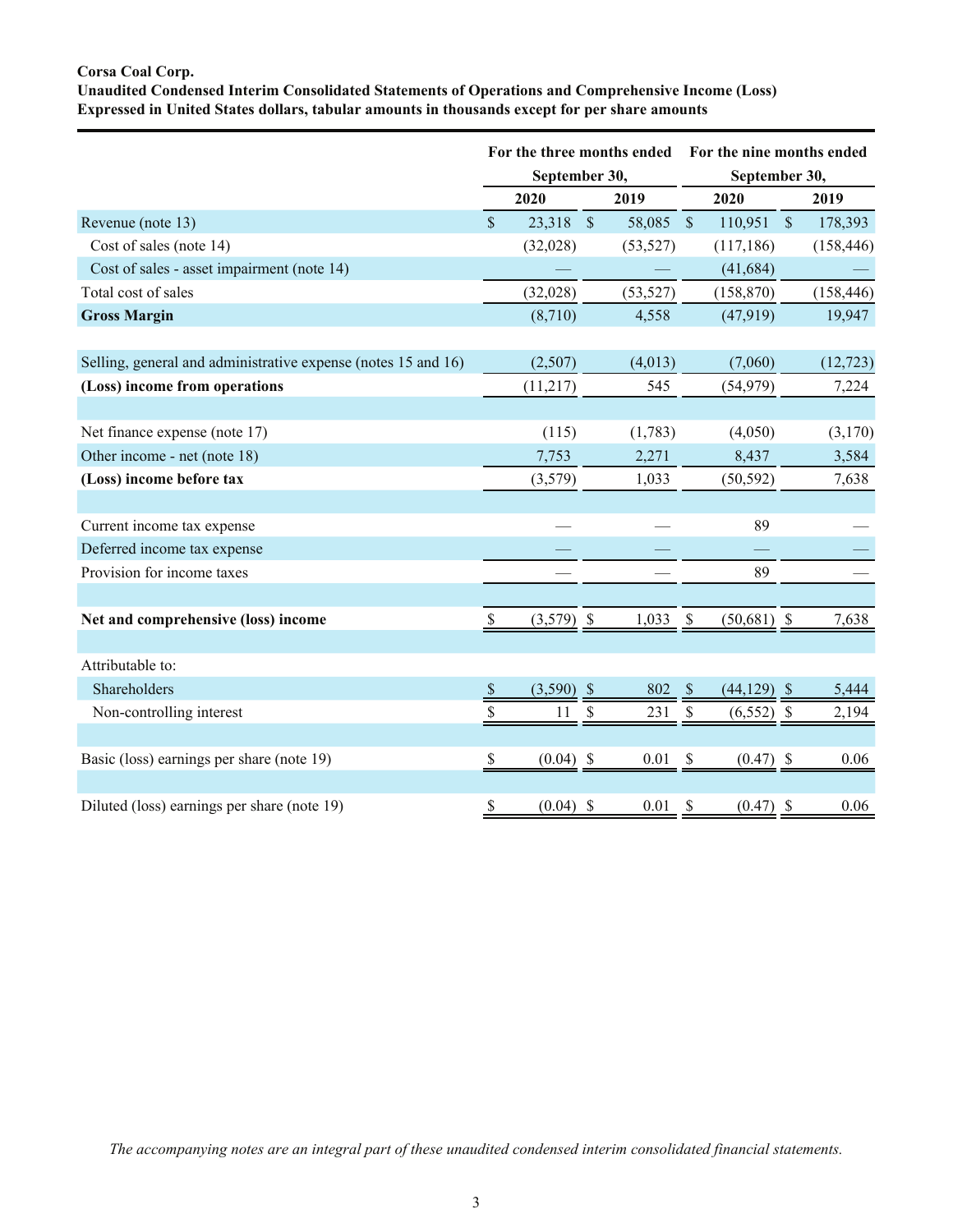# **Corsa Coal Corp.**

**Unaudited Condensed Interim Consolidated Statements of Operations and Comprehensive Income (Loss) Expressed in United States dollars, tabular amounts in thousands except for per share amounts**

|                                                               |                           |               |             | For the three months ended For the nine months ended |                           |               |               |            |
|---------------------------------------------------------------|---------------------------|---------------|-------------|------------------------------------------------------|---------------------------|---------------|---------------|------------|
|                                                               |                           | September 30, |             |                                                      |                           | September 30, |               |            |
|                                                               |                           | 2020          |             | 2019                                                 |                           | 2020          |               | 2019       |
| Revenue (note 13)                                             | $\mathbb{S}$              | 23,318        | $\sqrt{\$}$ | 58,085                                               | $\sqrt{\ }$               | 110,951       | $\mathcal{S}$ | 178,393    |
| Cost of sales (note 14)                                       |                           | (32,028)      |             | (53, 527)                                            |                           | (117, 186)    |               | (158, 446) |
| Cost of sales - asset impairment (note 14)                    |                           |               |             |                                                      |                           | (41, 684)     |               |            |
| Total cost of sales                                           |                           | (32,028)      |             | (53, 527)                                            |                           | (158, 870)    |               | (158, 446) |
| <b>Gross Margin</b>                                           |                           | (8,710)       |             | 4,558                                                |                           | (47,919)      |               | 19,947     |
|                                                               |                           |               |             |                                                      |                           |               |               |            |
| Selling, general and administrative expense (notes 15 and 16) |                           | (2,507)       |             | (4,013)                                              |                           | (7,060)       |               | (12, 723)  |
| (Loss) income from operations                                 |                           | (11,217)      |             | 545                                                  |                           | (54, 979)     |               | 7,224      |
|                                                               |                           |               |             |                                                      |                           |               |               |            |
| Net finance expense (note 17)                                 |                           | (115)         |             | (1,783)                                              |                           | (4,050)       |               | (3,170)    |
| Other income - net (note 18)                                  |                           | 7,753         |             | 2,271                                                |                           | 8,437         |               | 3,584      |
| (Loss) income before tax                                      |                           | (3,579)       |             | 1,033                                                |                           | (50, 592)     |               | 7,638      |
|                                                               |                           |               |             |                                                      |                           |               |               |            |
| Current income tax expense                                    |                           |               |             |                                                      |                           | 89            |               |            |
| Deferred income tax expense                                   |                           |               |             |                                                      |                           |               |               |            |
| Provision for income taxes                                    |                           |               |             |                                                      |                           | 89            |               |            |
|                                                               |                           |               |             |                                                      |                           |               |               |            |
| Net and comprehensive (loss) income                           | \$                        | $(3,579)$ \$  |             | 1,033                                                | - \$                      | $(50,681)$ \$ |               | 7,638      |
|                                                               |                           |               |             |                                                      |                           |               |               |            |
| Attributable to:                                              |                           |               |             |                                                      |                           |               |               |            |
| Shareholders                                                  | $\boldsymbol{\mathsf{S}}$ | $(3,590)$ \$  |             | 802                                                  | $\mathcal{S}$             | $(44,129)$ \$ |               | 5,444      |
| Non-controlling interest                                      | \$                        | 11            | \$          | 231                                                  | $\boldsymbol{\mathsf{S}}$ | $(6,552)$ \$  |               | 2,194      |
|                                                               |                           |               |             |                                                      |                           |               |               |            |
| Basic (loss) earnings per share (note 19)                     | \$                        | $(0.04)$ \$   |             | 0.01                                                 | \$                        | $(0.47)$ \$   |               | 0.06       |
|                                                               |                           |               |             |                                                      |                           |               |               |            |
| Diluted (loss) earnings per share (note 19)                   | \$                        | $(0.04)$ \$   |             | 0.01                                                 | $\mathcal{S}$             | $(0.47)$ \$   |               | 0.06       |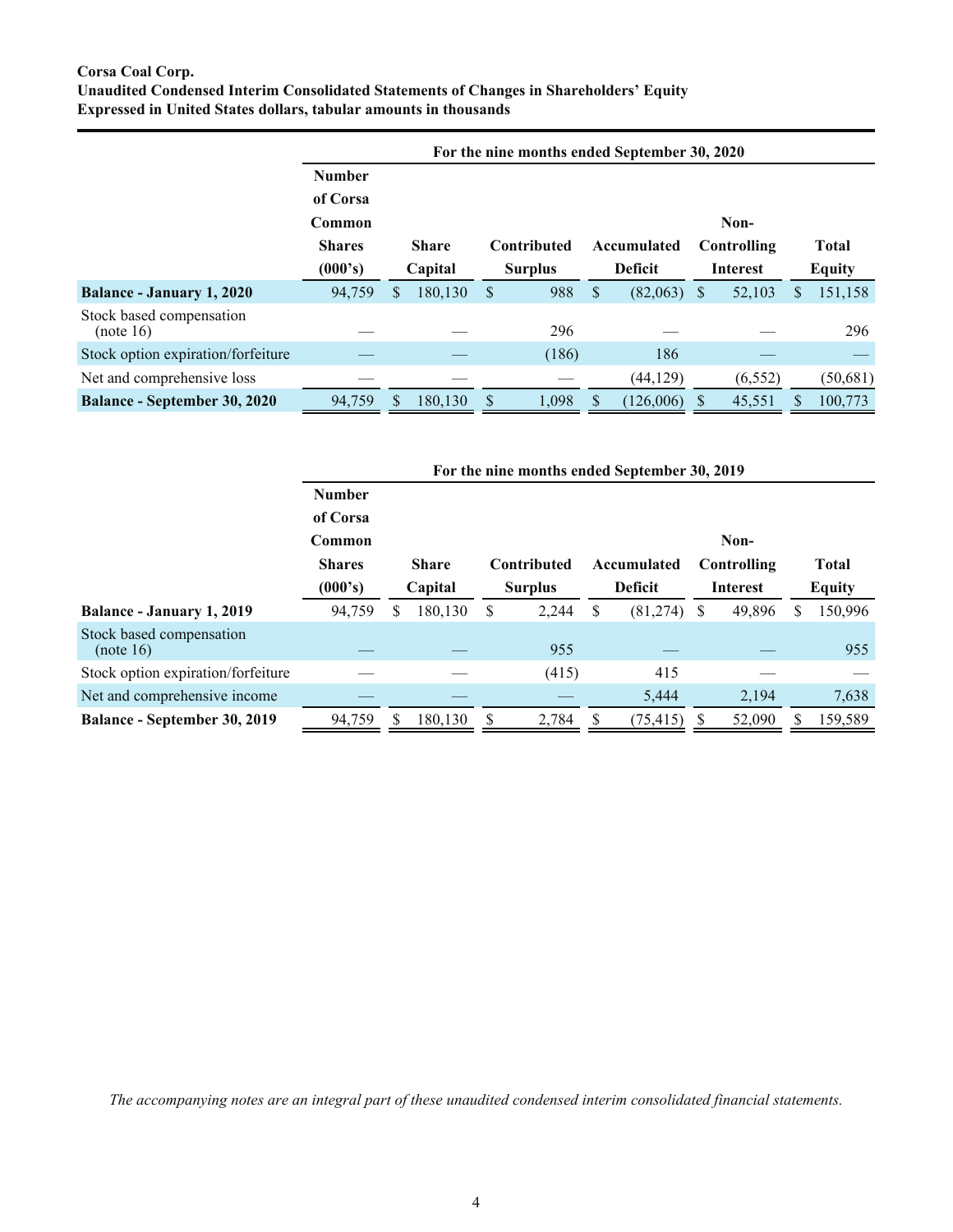# **Corsa Coal Corp. Unaudited Condensed Interim Consolidated Statements of Changes in Shareholders' Equity Expressed in United States dollars, tabular amounts in thousands**

|                                       |                                                                 | For the nine months ended September 30, 2020 |         |                                      |       |                               |           |                                        |          |   |                               |
|---------------------------------------|-----------------------------------------------------------------|----------------------------------------------|---------|--------------------------------------|-------|-------------------------------|-----------|----------------------------------------|----------|---|-------------------------------|
|                                       | <b>Number</b><br>of Corsa<br>Common<br><b>Shares</b><br>(000's) | <b>Share</b><br>Capital                      |         | <b>Contributed</b><br><b>Surplus</b> |       | Accumulated<br><b>Deficit</b> |           | Non-<br>Controlling<br><b>Interest</b> |          |   | <b>Total</b><br><b>Equity</b> |
| <b>Balance - January 1, 2020</b>      | 94,759                                                          | S                                            | 180,130 | S                                    | 988   | \$.                           | (82,063)  | S.                                     | 52,103   | S | 151,158                       |
| Stock based compensation<br>(note 16) |                                                                 |                                              |         |                                      | 296   |                               |           |                                        |          |   | 296                           |
| Stock option expiration/forfeiture    |                                                                 |                                              |         |                                      | (186) |                               | 186       |                                        |          |   |                               |
| Net and comprehensive loss            |                                                                 |                                              |         |                                      |       |                               | (44, 129) |                                        | (6, 552) |   | (50,681)                      |
| <b>Balance - September 30, 2020</b>   | 94,759                                                          |                                              | 180.130 |                                      | 1,098 |                               | (126.006) |                                        | 45.551   |   | 100,773                       |

|                                       | For the nine months ended September 30, 2019 |    |                                    |                |                            |                |           |                 |        |               |         |
|---------------------------------------|----------------------------------------------|----|------------------------------------|----------------|----------------------------|----------------|-----------|-----------------|--------|---------------|---------|
|                                       | <b>Number</b>                                |    |                                    |                |                            |                |           |                 |        |               |         |
|                                       | of Corsa                                     |    |                                    |                |                            |                |           |                 |        |               |         |
|                                       | Common                                       |    |                                    |                |                            |                |           |                 | Non-   |               |         |
|                                       | <b>Shares</b>                                |    | <b>Share</b><br><b>Contributed</b> |                | Accumulated<br>Controlling |                |           | <b>Total</b>    |        |               |         |
|                                       | (000's)                                      |    | Capital                            | <b>Surplus</b> |                            | <b>Deficit</b> |           | <b>Interest</b> |        | <b>Equity</b> |         |
| <b>Balance - January 1, 2019</b>      | 94,759                                       | \$ | 180.130                            | S              | 2,244                      |                | (81, 274) | S               | 49,896 |               | 150,996 |
| Stock based compensation<br>(note 16) |                                              |    |                                    |                | 955                        |                |           |                 |        |               | 955     |
| Stock option expiration/forfeiture    |                                              |    |                                    |                | (415)                      |                | 415       |                 |        |               |         |
| Net and comprehensive income          |                                              |    |                                    |                |                            |                | 5,444     |                 | 2,194  |               | 7,638   |
| <b>Balance - September 30, 2019</b>   | 94,759                                       | "Ъ | 180,130                            |                | 2,784                      |                | (75, 415) |                 | 52,090 |               | 159,589 |

*The accompanying notes are an integral part of these unaudited condensed interim consolidated financial statements.*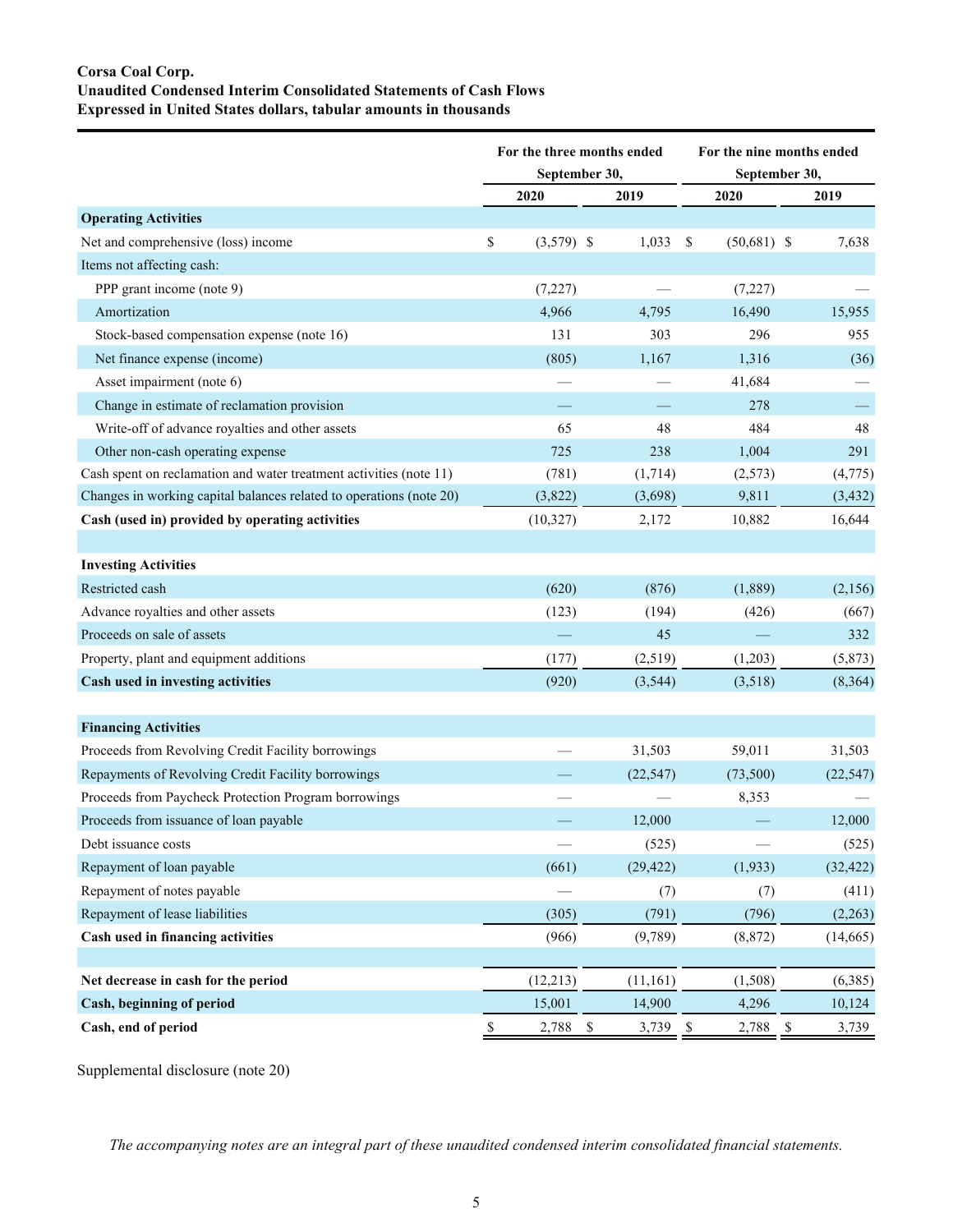# **Corsa Coal Corp. Unaudited Condensed Interim Consolidated Statements of Cash Flows Expressed in United States dollars, tabular amounts in thousands**

|                                                                     |             |               | For the three months ended     | For the nine months ended |                                    |  |  |  |
|---------------------------------------------------------------------|-------------|---------------|--------------------------------|---------------------------|------------------------------------|--|--|--|
|                                                                     |             | September 30, |                                |                           | September 30,                      |  |  |  |
|                                                                     |             | 2020          | 2019                           | 2020                      | 2019                               |  |  |  |
| <b>Operating Activities</b>                                         |             |               |                                |                           |                                    |  |  |  |
| Net and comprehensive (loss) income                                 | \$          | $(3,579)$ \$  | 1,033                          | \$<br>$(50,681)$ \$       | 7,638                              |  |  |  |
| Items not affecting cash:                                           |             |               |                                |                           |                                    |  |  |  |
| PPP grant income (note 9)                                           |             | (7,227)       |                                | (7,227)                   |                                    |  |  |  |
| Amortization                                                        |             | 4,966         | 4,795                          | 16,490                    | 15,955                             |  |  |  |
| Stock-based compensation expense (note 16)                          |             | 131           | 303                            | 296                       | 955                                |  |  |  |
| Net finance expense (income)                                        |             | (805)         | 1,167                          | 1,316                     | (36)                               |  |  |  |
| Asset impairment (note 6)                                           |             |               |                                | 41,684                    |                                    |  |  |  |
| Change in estimate of reclamation provision                         |             |               |                                | 278                       |                                    |  |  |  |
| Write-off of advance royalties and other assets                     |             | 65            | 48                             | 484                       | 48                                 |  |  |  |
| Other non-cash operating expense                                    |             | 725           | 238                            | 1,004                     | 291                                |  |  |  |
| Cash spent on reclamation and water treatment activities (note 11)  |             | (781)         | (1,714)                        | (2,573)                   | (4,775)                            |  |  |  |
| Changes in working capital balances related to operations (note 20) |             | (3,822)       | (3,698)                        | 9,811                     | (3, 432)                           |  |  |  |
| Cash (used in) provided by operating activities                     |             | (10, 327)     | 2,172                          | 10,882                    | 16,644                             |  |  |  |
|                                                                     |             |               |                                |                           |                                    |  |  |  |
| <b>Investing Activities</b>                                         |             |               |                                |                           |                                    |  |  |  |
| Restricted cash                                                     |             | (620)         | (876)                          | (1,889)                   | (2,156)                            |  |  |  |
| Advance royalties and other assets                                  |             | (123)         | (194)                          | (426)                     | (667)                              |  |  |  |
| Proceeds on sale of assets                                          |             |               | 45                             |                           | 332                                |  |  |  |
| Property, plant and equipment additions                             |             | (177)         | (2,519)                        | (1,203)                   | (5, 873)                           |  |  |  |
| Cash used in investing activities                                   |             | (920)         | (3, 544)                       | (3,518)                   | (8,364)                            |  |  |  |
|                                                                     |             |               |                                |                           |                                    |  |  |  |
| <b>Financing Activities</b>                                         |             |               |                                |                           |                                    |  |  |  |
| Proceeds from Revolving Credit Facility borrowings                  |             |               | 31,503                         | 59,011                    | 31,503                             |  |  |  |
| Repayments of Revolving Credit Facility borrowings                  |             |               | (22, 547)                      | (73,500)                  | (22, 547)                          |  |  |  |
| Proceeds from Paycheck Protection Program borrowings                |             |               |                                | 8,353                     |                                    |  |  |  |
| Proceeds from issuance of loan payable                              |             |               | 12,000                         |                           | 12,000                             |  |  |  |
| Debt issuance costs                                                 |             |               | (525)                          |                           | (525)                              |  |  |  |
| Repayment of loan payable                                           |             | (661)         | (29, 422)                      | (1,933)                   | (32, 422)                          |  |  |  |
| Repayment of notes payable                                          |             |               | (7)                            | (7)                       | (411)                              |  |  |  |
| Repayment of lease liabilities                                      |             | (305)         | (791)                          | (796)                     | (2, 263)                           |  |  |  |
| Cash used in financing activities                                   |             | (966)         | (9,789)                        | (8, 872)                  | (14, 665)                          |  |  |  |
|                                                                     |             |               |                                |                           |                                    |  |  |  |
| Net decrease in cash for the period                                 |             | (12, 213)     | (11, 161)                      | (1,508)                   | (6,385)                            |  |  |  |
| Cash, beginning of period                                           |             | 15,001        | 14,900                         | 4,296                     | 10,124                             |  |  |  |
| Cash, end of period                                                 | $\mathbb S$ | 2,788         | $\mathbf{\hat{s}}$<br>3,739 \$ | 2,788                     | $\boldsymbol{\mathsf{S}}$<br>3,739 |  |  |  |

Supplemental disclosure (note 20)

*The accompanying notes are an integral part of these unaudited condensed interim consolidated financial statements.*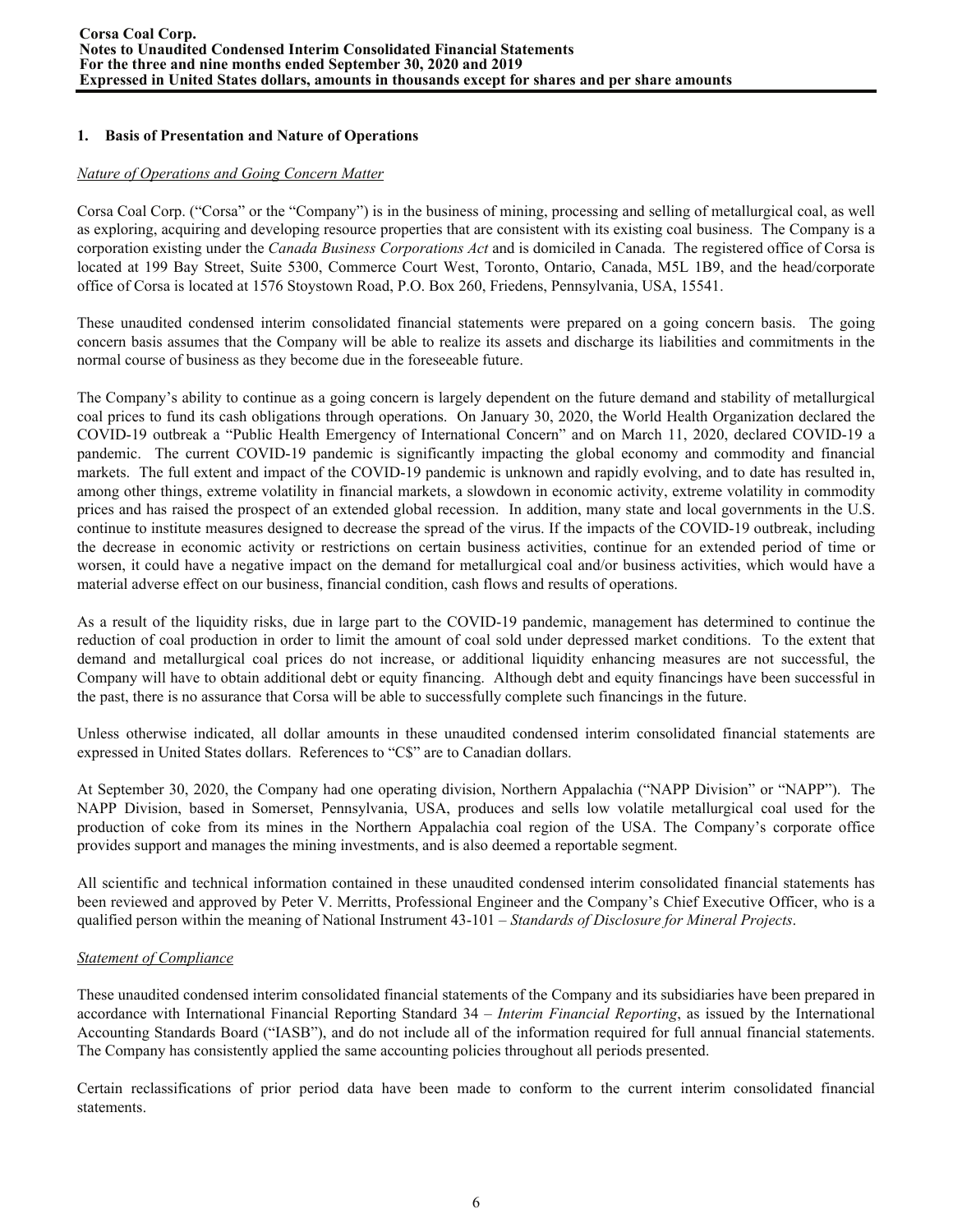# **1. Basis of Presentation and Nature of Operations**

### *Nature of Operations and Going Concern Matter*

Corsa Coal Corp. ("Corsa" or the "Company") is in the business of mining, processing and selling of metallurgical coal, as well as exploring, acquiring and developing resource properties that are consistent with its existing coal business. The Company is a corporation existing under the *Canada Business Corporations Act* and is domiciled in Canada. The registered office of Corsa is located at 199 Bay Street, Suite 5300, Commerce Court West, Toronto, Ontario, Canada, M5L 1B9, and the head/corporate office of Corsa is located at 1576 Stoystown Road, P.O. Box 260, Friedens, Pennsylvania, USA, 15541.

These unaudited condensed interim consolidated financial statements were prepared on a going concern basis. The going concern basis assumes that the Company will be able to realize its assets and discharge its liabilities and commitments in the normal course of business as they become due in the foreseeable future.

The Company's ability to continue as a going concern is largely dependent on the future demand and stability of metallurgical coal prices to fund its cash obligations through operations. On January 30, 2020, the World Health Organization declared the COVID-19 outbreak a "Public Health Emergency of International Concern" and on March 11, 2020, declared COVID-19 a pandemic. The current COVID-19 pandemic is significantly impacting the global economy and commodity and financial markets. The full extent and impact of the COVID-19 pandemic is unknown and rapidly evolving, and to date has resulted in, among other things, extreme volatility in financial markets, a slowdown in economic activity, extreme volatility in commodity prices and has raised the prospect of an extended global recession. In addition, many state and local governments in the U.S. continue to institute measures designed to decrease the spread of the virus. If the impacts of the COVID-19 outbreak, including the decrease in economic activity or restrictions on certain business activities, continue for an extended period of time or worsen, it could have a negative impact on the demand for metallurgical coal and/or business activities, which would have a material adverse effect on our business, financial condition, cash flows and results of operations.

As a result of the liquidity risks, due in large part to the COVID-19 pandemic, management has determined to continue the reduction of coal production in order to limit the amount of coal sold under depressed market conditions. To the extent that demand and metallurgical coal prices do not increase, or additional liquidity enhancing measures are not successful, the Company will have to obtain additional debt or equity financing. Although debt and equity financings have been successful in the past, there is no assurance that Corsa will be able to successfully complete such financings in the future.

Unless otherwise indicated, all dollar amounts in these unaudited condensed interim consolidated financial statements are expressed in United States dollars. References to "C\$" are to Canadian dollars.

At September 30, 2020, the Company had one operating division, Northern Appalachia ("NAPP Division" or "NAPP"). The NAPP Division, based in Somerset, Pennsylvania, USA, produces and sells low volatile metallurgical coal used for the production of coke from its mines in the Northern Appalachia coal region of the USA. The Company's corporate office provides support and manages the mining investments, and is also deemed a reportable segment.

All scientific and technical information contained in these unaudited condensed interim consolidated financial statements has been reviewed and approved by Peter V. Merritts, Professional Engineer and the Company's Chief Executive Officer, who is a qualified person within the meaning of National Instrument 43-101 – *Standards of Disclosure for Mineral Projects*.

# *Statement of Compliance*

These unaudited condensed interim consolidated financial statements of the Company and its subsidiaries have been prepared in accordance with International Financial Reporting Standard 34 – *Interim Financial Reporting*, as issued by the International Accounting Standards Board ("IASB"), and do not include all of the information required for full annual financial statements. The Company has consistently applied the same accounting policies throughout all periods presented.

Certain reclassifications of prior period data have been made to conform to the current interim consolidated financial statements.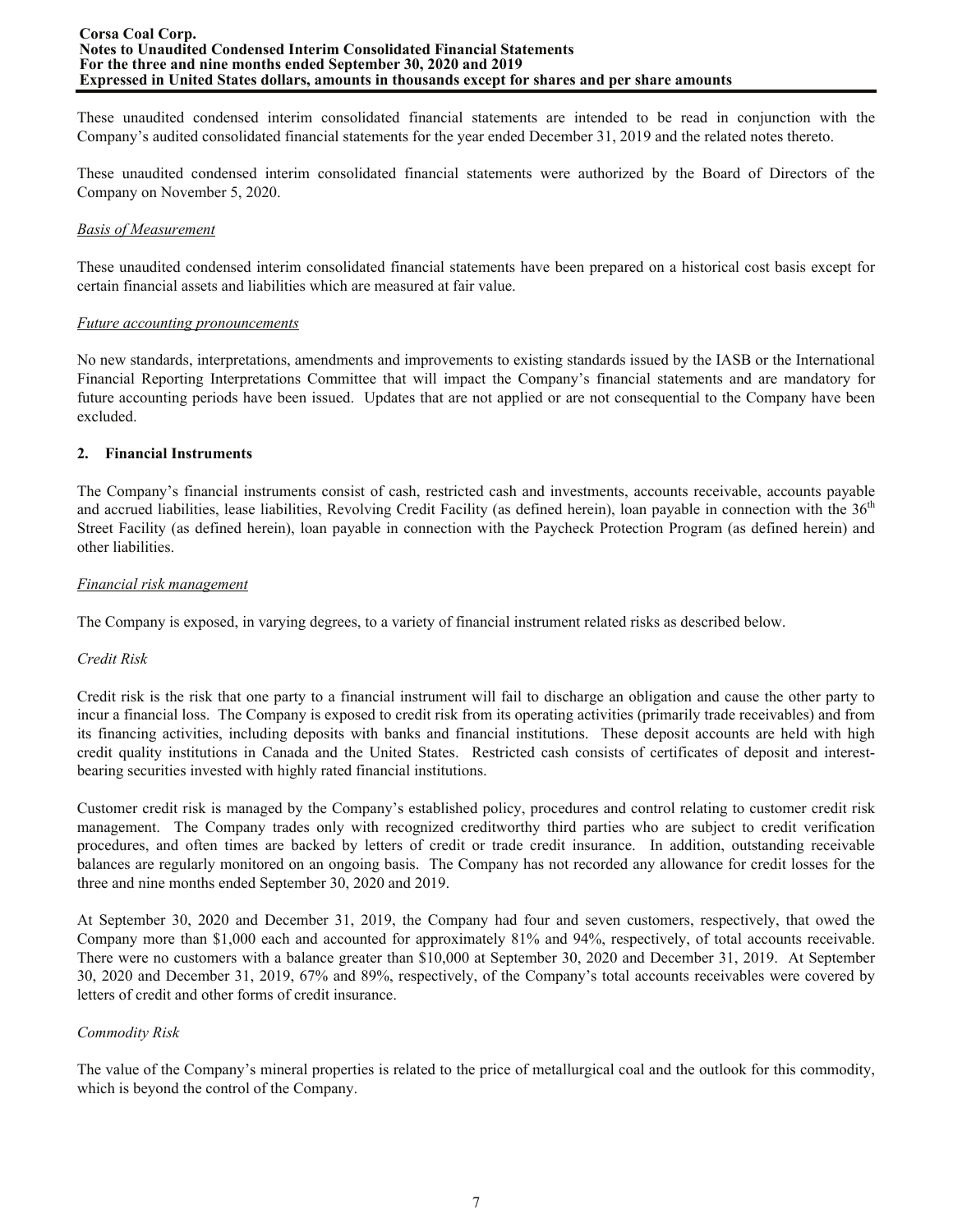These unaudited condensed interim consolidated financial statements are intended to be read in conjunction with the Company's audited consolidated financial statements for the year ended December 31, 2019 and the related notes thereto.

These unaudited condensed interim consolidated financial statements were authorized by the Board of Directors of the Company on November 5, 2020.

#### *Basis of Measurement*

These unaudited condensed interim consolidated financial statements have been prepared on a historical cost basis except for certain financial assets and liabilities which are measured at fair value.

### *Future accounting pronouncements*

No new standards, interpretations, amendments and improvements to existing standards issued by the IASB or the International Financial Reporting Interpretations Committee that will impact the Company's financial statements and are mandatory for future accounting periods have been issued. Updates that are not applied or are not consequential to the Company have been excluded.

# **2. Financial Instruments**

The Company's financial instruments consist of cash, restricted cash and investments, accounts receivable, accounts payable and accrued liabilities, lease liabilities, Revolving Credit Facility (as defined herein), loan payable in connection with the  $36<sup>th</sup>$ Street Facility (as defined herein), loan payable in connection with the Paycheck Protection Program (as defined herein) and other liabilities.

### *Financial risk management*

The Company is exposed, in varying degrees, to a variety of financial instrument related risks as described below.

# *Credit Risk*

Credit risk is the risk that one party to a financial instrument will fail to discharge an obligation and cause the other party to incur a financial loss. The Company is exposed to credit risk from its operating activities (primarily trade receivables) and from its financing activities, including deposits with banks and financial institutions. These deposit accounts are held with high credit quality institutions in Canada and the United States. Restricted cash consists of certificates of deposit and interestbearing securities invested with highly rated financial institutions.

Customer credit risk is managed by the Company's established policy, procedures and control relating to customer credit risk management. The Company trades only with recognized creditworthy third parties who are subject to credit verification procedures, and often times are backed by letters of credit or trade credit insurance. In addition, outstanding receivable balances are regularly monitored on an ongoing basis. The Company has not recorded any allowance for credit losses for the three and nine months ended September 30, 2020 and 2019.

At September 30, 2020 and December 31, 2019, the Company had four and seven customers, respectively, that owed the Company more than \$1,000 each and accounted for approximately 81% and 94%, respectively, of total accounts receivable. There were no customers with a balance greater than \$10,000 at September 30, 2020 and December 31, 2019. At September 30, 2020 and December 31, 2019, 67% and 89%, respectively, of the Company's total accounts receivables were covered by letters of credit and other forms of credit insurance.

# *Commodity Risk*

The value of the Company's mineral properties is related to the price of metallurgical coal and the outlook for this commodity, which is beyond the control of the Company.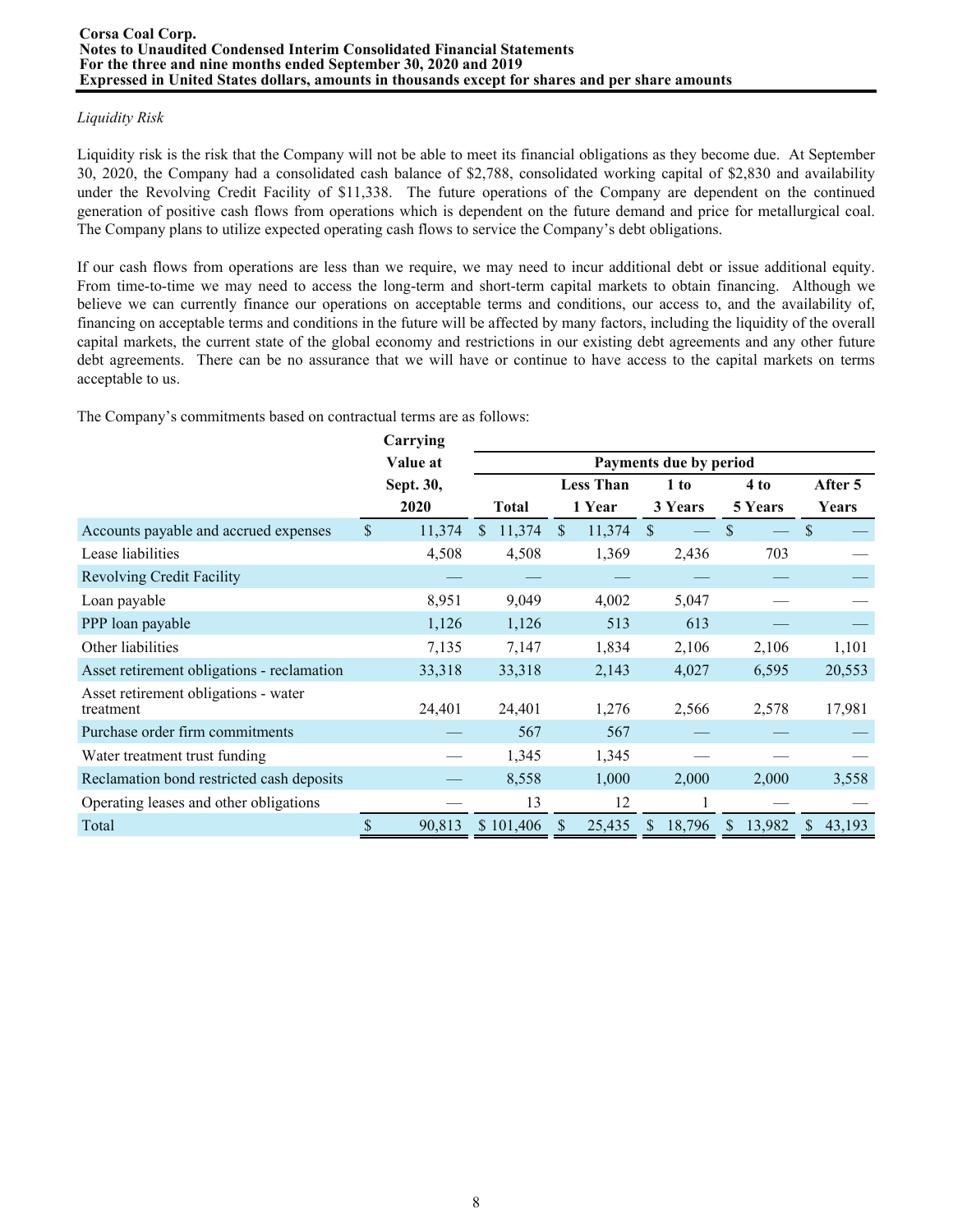# *Liquidity Risk*

Liquidity risk is the risk that the Company will not be able to meet its financial obligations as they become due. At September 30, 2020, the Company had a consolidated cash balance of \$2,788, consolidated working capital of \$2,830 and availability under the Revolving Credit Facility of \$11,338. The future operations of the Company are dependent on the continued generation of positive cash flows from operations which is dependent on the future demand and price for metallurgical coal. The Company plans to utilize expected operating cash flows to service the Company's debt obligations.

If our cash flows from operations are less than we require, we may need to incur additional debt or issue additional equity. From time-to-time we may need to access the long-term and short-term capital markets to obtain financing. Although we believe we can currently finance our operations on acceptable terms and conditions, our access to, and the availability of, financing on acceptable terms and conditions in the future will be affected by many factors, including the liquidity of the overall capital markets, the current state of the global economy and restrictions in our existing debt agreements and any other future debt agreements. There can be no assurance that we will have or continue to have access to the capital markets on terms acceptable to us.

The Company's commitments based on contractual terms are as follows:

|                                                   | Carrying     |                        |                  |        |                        |               |         |               |        |  |  |
|---------------------------------------------------|--------------|------------------------|------------------|--------|------------------------|---------------|---------|---------------|--------|--|--|
|                                                   | Value at     | Payments due by period |                  |        |                        |               |         |               |        |  |  |
|                                                   | Sept. 30,    |                        | <b>Less Than</b> |        | 1 to                   |               |         | After 5       |        |  |  |
|                                                   | 2020         | <b>Total</b>           | 1 Year           |        | 3 Years                |               | 5 Years |               | Years  |  |  |
| Accounts payable and accrued expenses             | \$<br>11,374 | 11,374<br>\$.          | <sup>\$</sup>    | 11,374 | <sup>\$</sup>          | <sup>\$</sup> |         | <sup>\$</sup> |        |  |  |
| Lease liabilities                                 | 4,508        | 4,508                  |                  | 1,369  | 2,436                  |               | 703     |               |        |  |  |
| <b>Revolving Credit Facility</b>                  |              |                        |                  |        |                        |               |         |               |        |  |  |
| Loan payable                                      | 8,951        | 9,049                  |                  | 4,002  | 5,047                  |               |         |               |        |  |  |
| PPP loan payable                                  | 1,126        | 1,126                  |                  | 513    | 613                    |               |         |               |        |  |  |
| Other liabilities                                 | 7,135        | 7,147                  |                  | 1,834  | 2,106                  |               | 2,106   |               | 1,101  |  |  |
| Asset retirement obligations - reclamation        | 33,318       | 33,318                 |                  | 2,143  | 4,027                  |               | 6,595   |               | 20,553 |  |  |
| Asset retirement obligations - water<br>treatment | 24,401       | 24,401                 |                  | 1,276  | 2,566                  |               | 2,578   |               | 17,981 |  |  |
| Purchase order firm commitments                   |              | 567                    |                  | 567    |                        |               |         |               |        |  |  |
| Water treatment trust funding                     |              | 1,345                  |                  | 1,345  |                        |               |         |               |        |  |  |
| Reclamation bond restricted cash deposits         |              | 8,558                  |                  | 1,000  | 2,000                  |               | 2,000   |               | 3,558  |  |  |
| Operating leases and other obligations            |              | 13                     |                  | 12     |                        |               |         |               |        |  |  |
| Total                                             | \$<br>90,813 | \$101,406              |                  | 25,435 | 18,796<br><sup>S</sup> | $\mathbb{S}$  | 13,982  | $\mathbb{S}$  | 43,193 |  |  |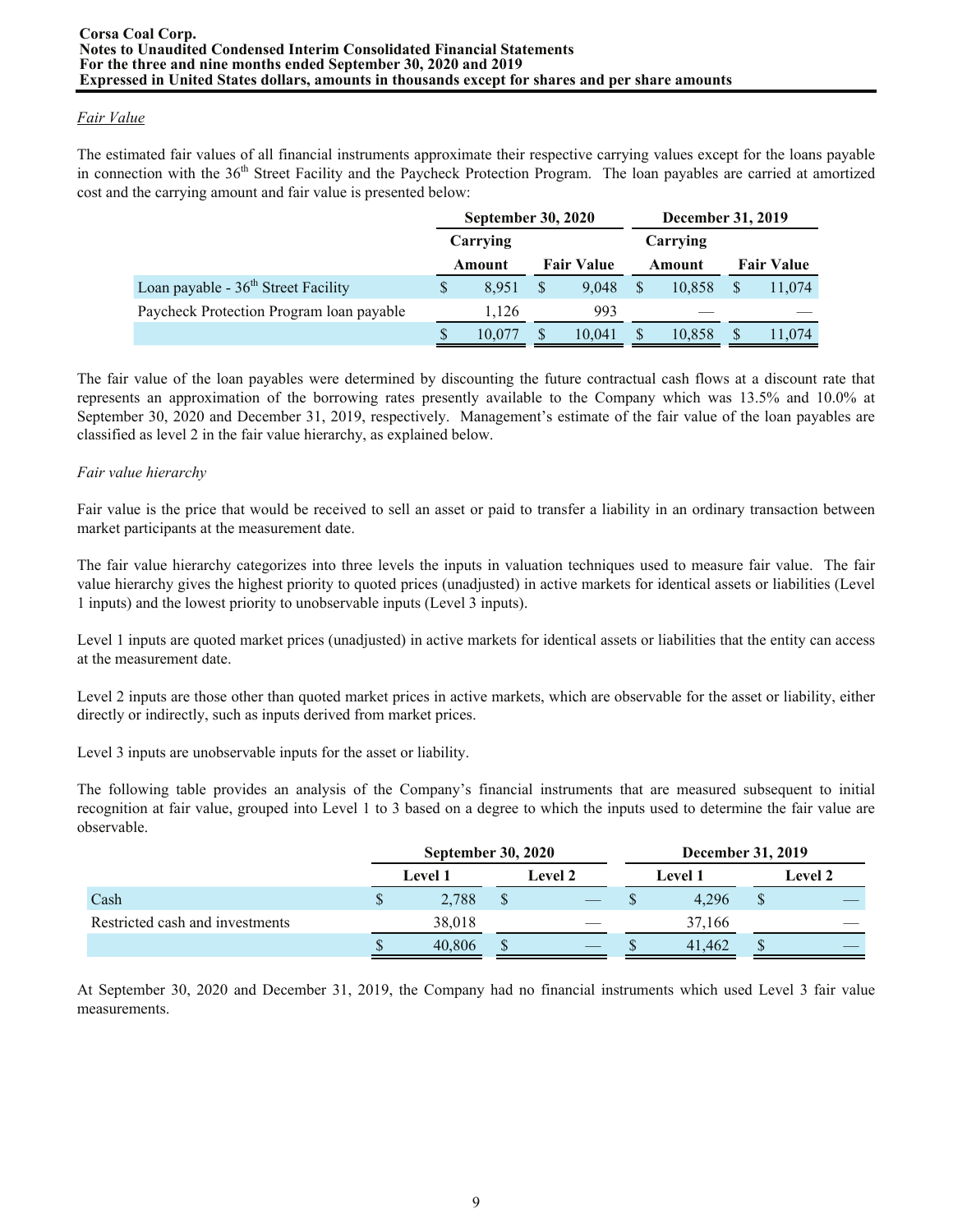# *Fair Value*

The estimated fair values of all financial instruments approximate their respective carrying values except for the loans payable in connection with the 36<sup>th</sup> Street Facility and the Paycheck Protection Program. The loan payables are carried at amortized cost and the carrying amount and fair value is presented below:

|                                          | <b>September 30, 2020</b> |   |                   | <b>December 31, 2019</b> |          |  |                   |  |
|------------------------------------------|---------------------------|---|-------------------|--------------------------|----------|--|-------------------|--|
|                                          | Carrying                  |   |                   |                          | Carrying |  |                   |  |
|                                          | Amount                    |   | <b>Fair Value</b> |                          | Amount   |  | <b>Fair Value</b> |  |
| Loan payable - $36th$ Street Facility    | 8.951                     |   | 9.048             |                          | 10.858   |  | 11,074            |  |
| Paycheck Protection Program loan payable | 1.126                     |   | 993               |                          |          |  |                   |  |
|                                          | 10.077                    | S | 10.041            |                          | 10,858   |  | 11,074            |  |

The fair value of the loan payables were determined by discounting the future contractual cash flows at a discount rate that represents an approximation of the borrowing rates presently available to the Company which was 13.5% and 10.0% at September 30, 2020 and December 31, 2019, respectively. Management's estimate of the fair value of the loan payables are classified as level 2 in the fair value hierarchy, as explained below.

# *Fair value hierarchy*

Fair value is the price that would be received to sell an asset or paid to transfer a liability in an ordinary transaction between market participants at the measurement date.

The fair value hierarchy categorizes into three levels the inputs in valuation techniques used to measure fair value. The fair value hierarchy gives the highest priority to quoted prices (unadjusted) in active markets for identical assets or liabilities (Level 1 inputs) and the lowest priority to unobservable inputs (Level 3 inputs).

Level 1 inputs are quoted market prices (unadjusted) in active markets for identical assets or liabilities that the entity can access at the measurement date.

Level 2 inputs are those other than quoted market prices in active markets, which are observable for the asset or liability, either directly or indirectly, such as inputs derived from market prices.

Level 3 inputs are unobservable inputs for the asset or liability.

The following table provides an analysis of the Company's financial instruments that are measured subsequent to initial recognition at fair value, grouped into Level 1 to 3 based on a degree to which the inputs used to determine the fair value are observable.

|                                 | <b>September 30, 2020</b> |        |                |  |                | December 31, 2019 |   |                |  |
|---------------------------------|---------------------------|--------|----------------|--|----------------|-------------------|---|----------------|--|
|                                 | <b>Level 1</b>            |        | <b>Level 2</b> |  | <b>Level 1</b> |                   |   | <b>Level 2</b> |  |
| Cash                            |                           | 2,788  |                |  |                | 4.296             | Φ |                |  |
| Restricted cash and investments |                           | 38,018 |                |  |                | 37,166            |   |                |  |
|                                 |                           | 40.806 | Φ              |  |                | 41.462            | J |                |  |

At September 30, 2020 and December 31, 2019, the Company had no financial instruments which used Level 3 fair value measurements.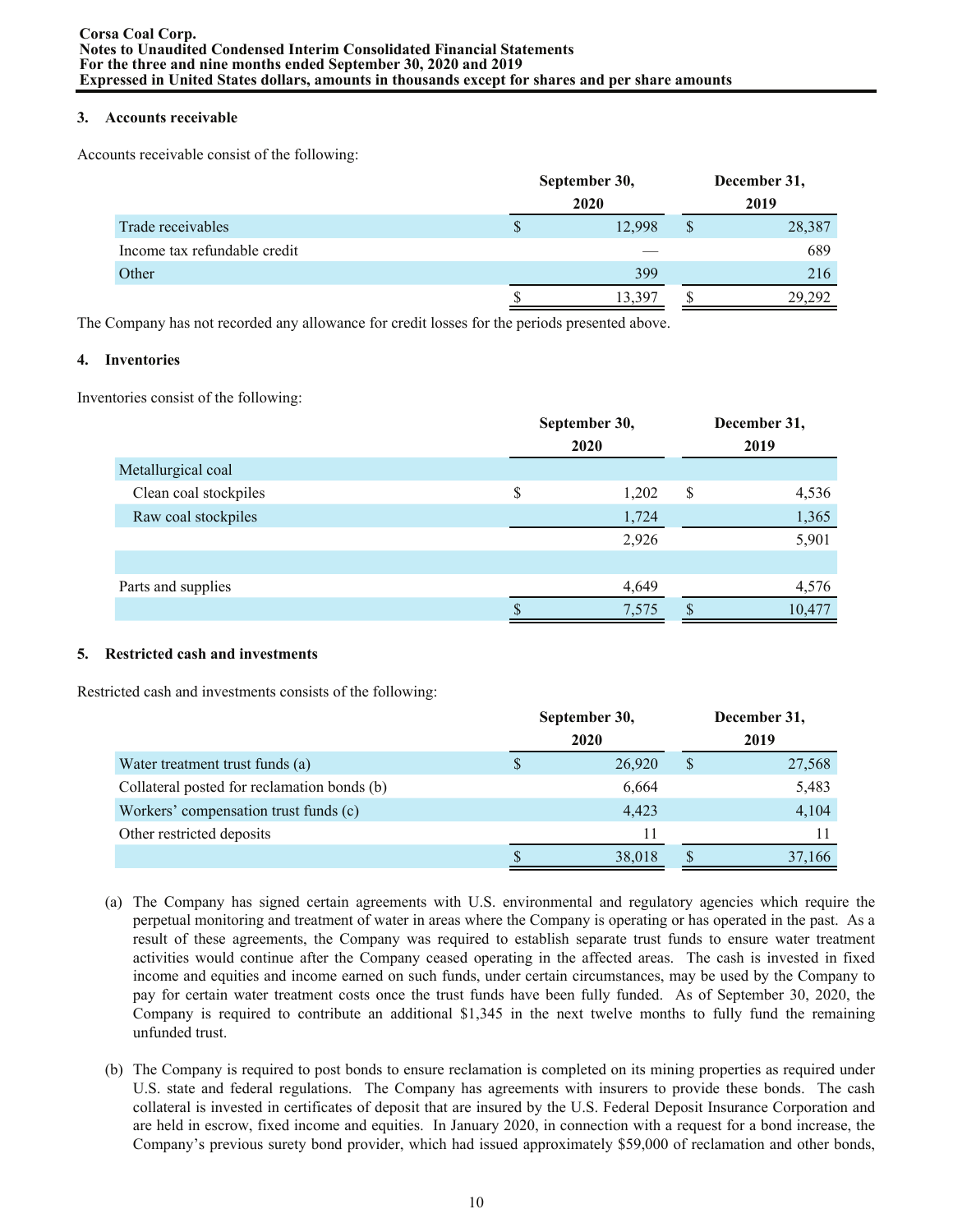# **3. Accounts receivable**

Accounts receivable consist of the following:

|                              |   | September 30, | December 31, |
|------------------------------|---|---------------|--------------|
|                              |   | 2020          | 2019         |
| Trade receivables            | S | 12,998        | 28,387       |
| Income tax refundable credit |   |               | 689          |
| Other                        |   | 399           | 216          |
|                              |   | 13.397        | 29,292       |

The Company has not recorded any allowance for credit losses for the periods presented above.

# **4. Inventories**

Inventories consist of the following:

|                       |        | September 30,<br>2020 | December 31,<br>2019 |        |  |
|-----------------------|--------|-----------------------|----------------------|--------|--|
| Metallurgical coal    |        |                       |                      |        |  |
| Clean coal stockpiles | ¢<br>J | 1,202                 | S                    | 4,536  |  |
| Raw coal stockpiles   |        | 1,724                 |                      | 1,365  |  |
|                       |        | 2,926                 |                      | 5,901  |  |
|                       |        |                       |                      |        |  |
| Parts and supplies    |        | 4,649                 |                      | 4,576  |  |
|                       |        | 7,575                 |                      | 10,477 |  |

# **5. Restricted cash and investments**

Restricted cash and investments consists of the following:

|                                             | September 30, |   | December 31, |
|---------------------------------------------|---------------|---|--------------|
|                                             | 2020          |   | 2019         |
| Water treatment trust funds (a)             | 26,920        | S | 27,568       |
| Collateral posted for reclamation bonds (b) | 6,664         |   | 5,483        |
| Workers' compensation trust funds (c)       | 4,423         |   | 4,104        |
| Other restricted deposits                   | 11            |   |              |
|                                             | 38,018        |   | 37,166       |

- (a) The Company has signed certain agreements with U.S. environmental and regulatory agencies which require the perpetual monitoring and treatment of water in areas where the Company is operating or has operated in the past. As a result of these agreements, the Company was required to establish separate trust funds to ensure water treatment activities would continue after the Company ceased operating in the affected areas. The cash is invested in fixed income and equities and income earned on such funds, under certain circumstances, may be used by the Company to pay for certain water treatment costs once the trust funds have been fully funded. As of September 30, 2020, the Company is required to contribute an additional \$1,345 in the next twelve months to fully fund the remaining unfunded trust.
- (b) The Company is required to post bonds to ensure reclamation is completed on its mining properties as required under U.S. state and federal regulations. The Company has agreements with insurers to provide these bonds. The cash collateral is invested in certificates of deposit that are insured by the U.S. Federal Deposit Insurance Corporation and are held in escrow, fixed income and equities. In January 2020, in connection with a request for a bond increase, the Company's previous surety bond provider, which had issued approximately \$59,000 of reclamation and other bonds,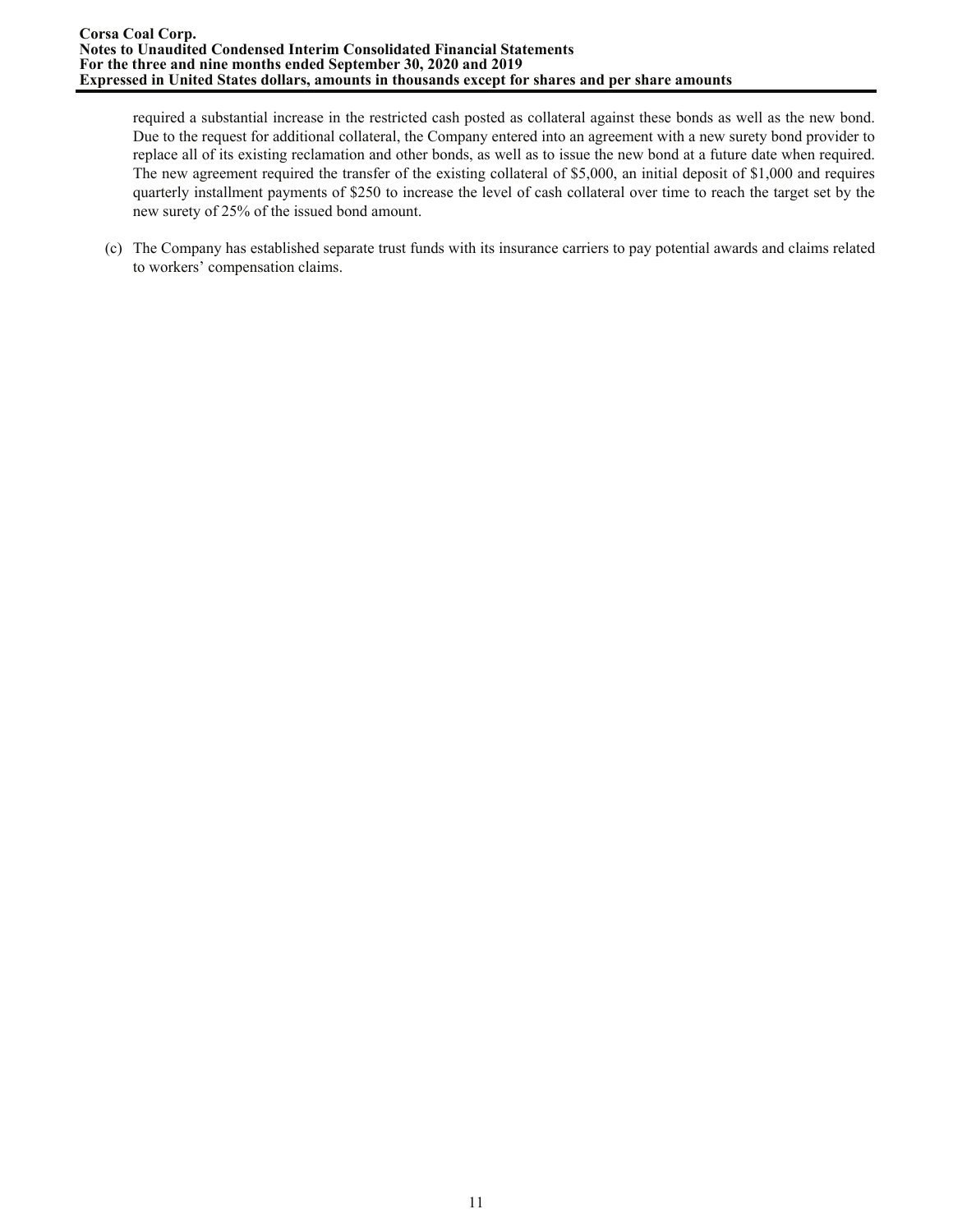required a substantial increase in the restricted cash posted as collateral against these bonds as well as the new bond. Due to the request for additional collateral, the Company entered into an agreement with a new surety bond provider to replace all of its existing reclamation and other bonds, as well as to issue the new bond at a future date when required. The new agreement required the transfer of the existing collateral of \$5,000, an initial deposit of \$1,000 and requires quarterly installment payments of \$250 to increase the level of cash collateral over time to reach the target set by the new surety of 25% of the issued bond amount.

(c) The Company has established separate trust funds with its insurance carriers to pay potential awards and claims related to workers' compensation claims.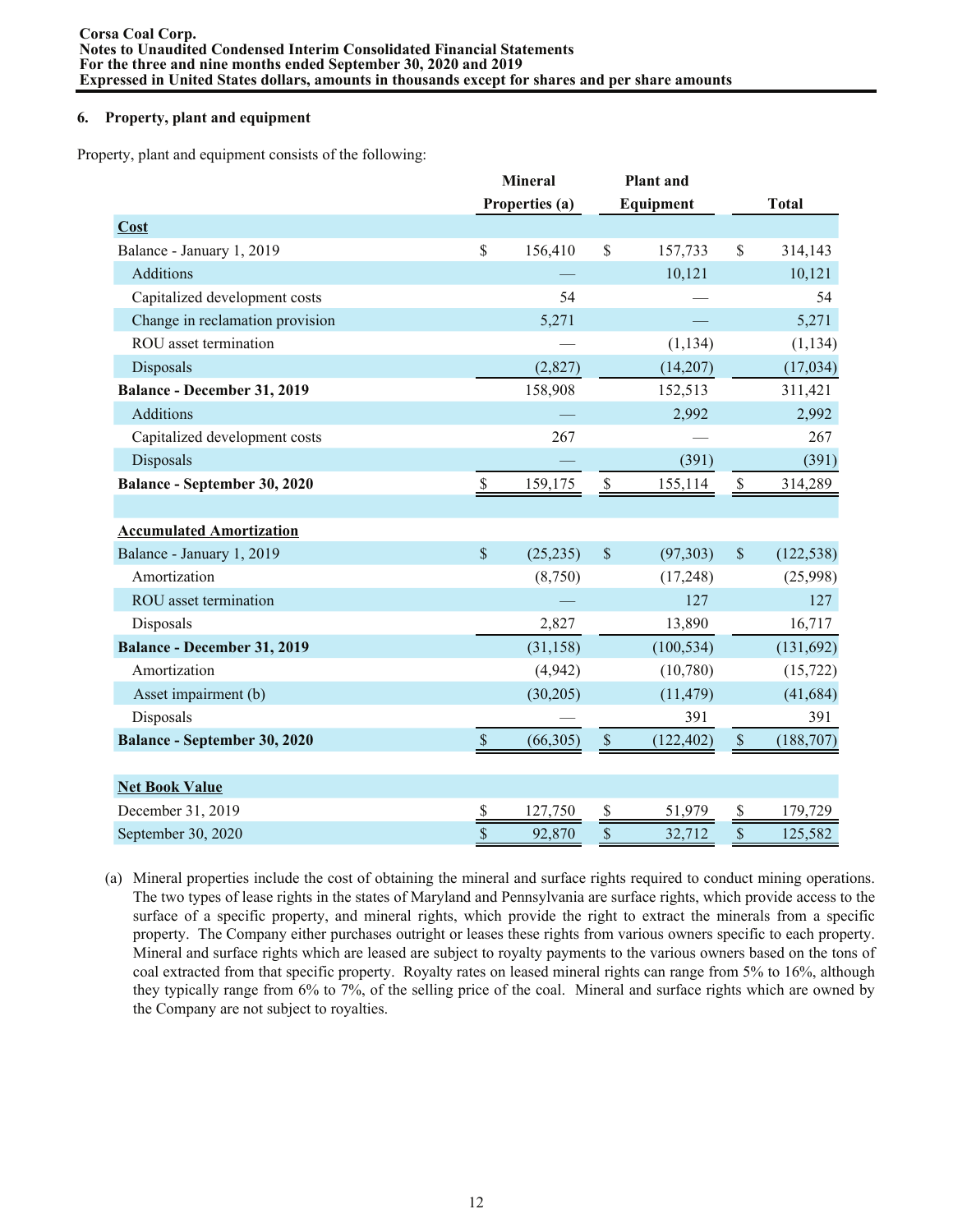## **6. Property, plant and equipment**

Property, plant and equipment consists of the following:

|                                     |               | <b>Mineral</b> |                        | <b>Plant</b> and |                           |              |
|-------------------------------------|---------------|----------------|------------------------|------------------|---------------------------|--------------|
|                                     |               | Properties (a) |                        | Equipment        |                           | <b>Total</b> |
| Cost                                |               |                |                        |                  |                           |              |
| Balance - January 1, 2019           | \$            | 156,410        | $\mathcal{S}$          | 157,733          | \$                        | 314,143      |
| <b>Additions</b>                    |               |                |                        | 10,121           |                           | 10,121       |
| Capitalized development costs       |               | 54             |                        |                  |                           | 54           |
| Change in reclamation provision     |               | 5,271          |                        |                  |                           | 5,271        |
| ROU asset termination               |               |                |                        | (1, 134)         |                           | (1, 134)     |
| Disposals                           |               | (2,827)        |                        | (14,207)         |                           | (17, 034)    |
| <b>Balance - December 31, 2019</b>  |               | 158,908        |                        | 152,513          |                           | 311,421      |
| Additions                           |               |                |                        | 2,992            |                           | 2,992        |
| Capitalized development costs       |               | 267            |                        |                  |                           | 267          |
| Disposals                           |               |                |                        | (391)            |                           | (391)        |
| Balance - September 30, 2020        | \$            | 159,175        | $\mathbb{S}$           | 155,114          | $\mathbb S$               | 314,289      |
|                                     |               |                |                        |                  |                           |              |
| <b>Accumulated Amortization</b>     |               |                |                        |                  |                           |              |
| Balance - January 1, 2019           | $\mathbb{S}$  | (25, 235)      | $\mathcal{S}$          | (97, 303)        | $\boldsymbol{\mathsf{S}}$ | (122, 538)   |
| Amortization                        |               | (8,750)        |                        | (17, 248)        |                           | (25,998)     |
| ROU asset termination               |               |                |                        | 127              |                           | 127          |
| Disposals                           |               | 2,827          |                        | 13,890           |                           | 16,717       |
| <b>Balance - December 31, 2019</b>  |               | (31, 158)      |                        | (100, 534)       |                           | (131,692)    |
| Amortization                        |               | (4,942)        |                        | (10,780)         |                           | (15, 722)    |
| Asset impairment (b)                |               | (30,205)       |                        | (11, 479)        |                           | (41, 684)    |
| Disposals                           |               |                |                        | 391              |                           | 391          |
| <b>Balance - September 30, 2020</b> | $\mathcal{S}$ | (66,305)       | $\mathcal{S}$          | (122, 402)       | $\mathbb{S}$              | (188, 707)   |
| <b>Net Book Value</b>               |               |                |                        |                  |                           |              |
| December 31, 2019                   | \$            | 127,750        | \$                     | 51,979           | \$                        | 179,729      |
| September 30, 2020                  | $\frac{1}{3}$ | 92,870         | $\sqrt{\frac{2}{\pi}}$ | 32,712           |                           | 125,582      |

(a) Mineral properties include the cost of obtaining the mineral and surface rights required to conduct mining operations. The two types of lease rights in the states of Maryland and Pennsylvania are surface rights, which provide access to the surface of a specific property, and mineral rights, which provide the right to extract the minerals from a specific property. The Company either purchases outright or leases these rights from various owners specific to each property. Mineral and surface rights which are leased are subject to royalty payments to the various owners based on the tons of coal extracted from that specific property. Royalty rates on leased mineral rights can range from 5% to 16%, although they typically range from 6% to 7%, of the selling price of the coal. Mineral and surface rights which are owned by the Company are not subject to royalties.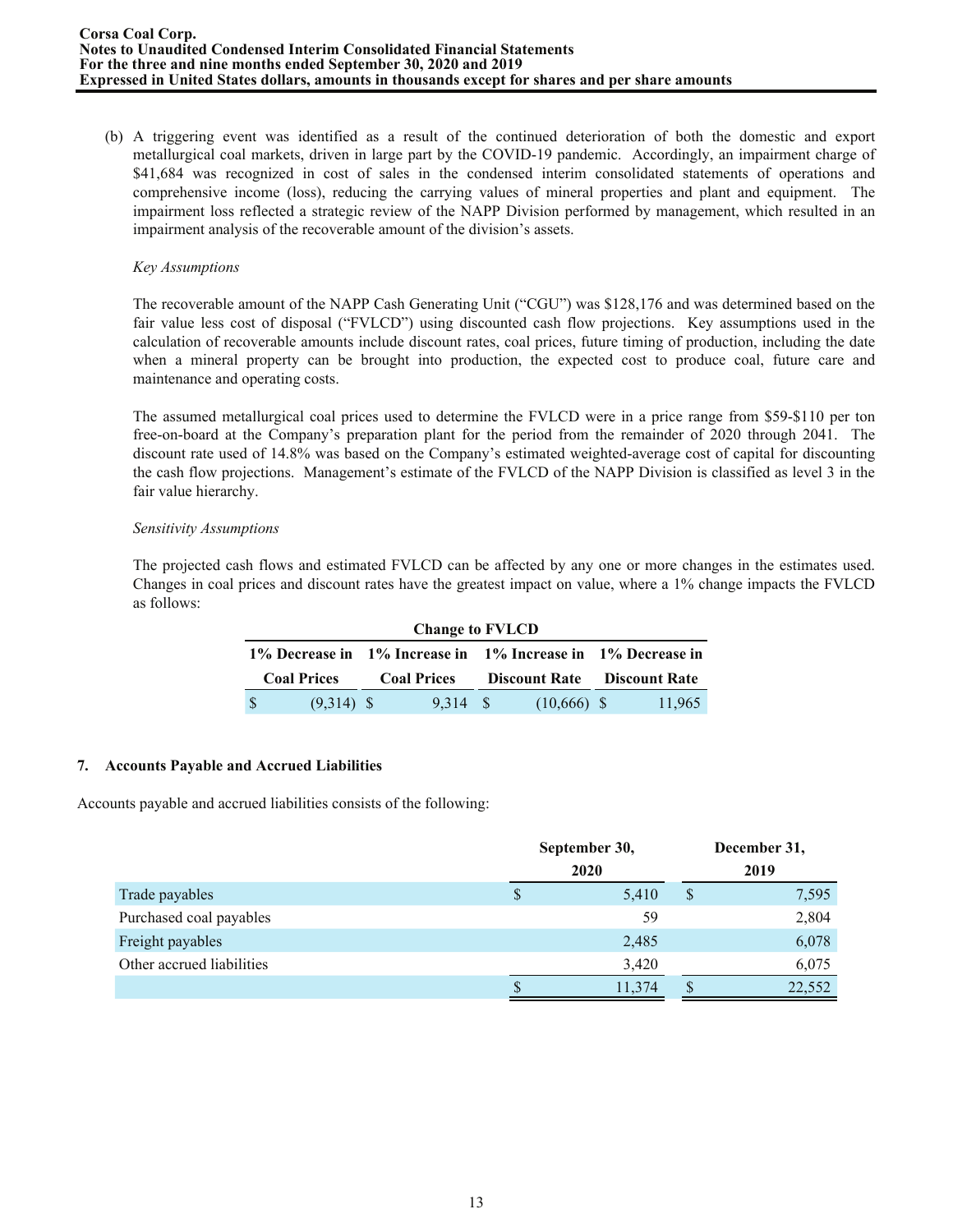(b) A triggering event was identified as a result of the continued deterioration of both the domestic and export metallurgical coal markets, driven in large part by the COVID-19 pandemic. Accordingly, an impairment charge of \$41,684 was recognized in cost of sales in the condensed interim consolidated statements of operations and comprehensive income (loss), reducing the carrying values of mineral properties and plant and equipment. The impairment loss reflected a strategic review of the NAPP Division performed by management, which resulted in an impairment analysis of the recoverable amount of the division's assets.

### *Key Assumptions*

The recoverable amount of the NAPP Cash Generating Unit ("CGU") was \$128,176 and was determined based on the fair value less cost of disposal ("FVLCD") using discounted cash flow projections. Key assumptions used in the calculation of recoverable amounts include discount rates, coal prices, future timing of production, including the date when a mineral property can be brought into production, the expected cost to produce coal, future care and maintenance and operating costs.

The assumed metallurgical coal prices used to determine the FVLCD were in a price range from \$59-\$110 per ton free-on-board at the Company's preparation plant for the period from the remainder of 2020 through 2041. The discount rate used of 14.8% was based on the Company's estimated weighted-average cost of capital for discounting the cash flow projections. Management's estimate of the FVLCD of the NAPP Division is classified as level 3 in the fair value hierarchy.

### *Sensitivity Assumptions*

The projected cash flows and estimated FVLCD can be affected by any one or more changes in the estimates used. Changes in coal prices and discount rates have the greatest impact on value, where a 1% change impacts the FVLCD as follows:

|                                                             | <b>Change to FVLCD</b> |  |         |  |                                    |  |        |  |  |  |  |  |  |
|-------------------------------------------------------------|------------------------|--|---------|--|------------------------------------|--|--------|--|--|--|--|--|--|
| 1% Decrease in 1% Increase in 1% Increase in 1% Decrease in |                        |  |         |  |                                    |  |        |  |  |  |  |  |  |
| <b>Coal Prices</b><br><b>Coal Prices</b>                    |                        |  |         |  | <b>Discount Rate</b> Discount Rate |  |        |  |  |  |  |  |  |
| <sup>S</sup>                                                | $(9,314)$ \$           |  | 9.314 S |  | $(10,666)$ \$                      |  | 11,965 |  |  |  |  |  |  |

# **7. Accounts Payable and Accrued Liabilities**

Accounts payable and accrued liabilities consists of the following:

|                           | September 30, | December 31, |
|---------------------------|---------------|--------------|
|                           | 2020          | 2019         |
| Trade payables            | 5,410         | \$<br>7,595  |
| Purchased coal payables   | 59            | 2,804        |
| Freight payables          | 2,485         | 6,078        |
| Other accrued liabilities | 3,420         | 6,075        |
|                           | 11,374        | 22,552       |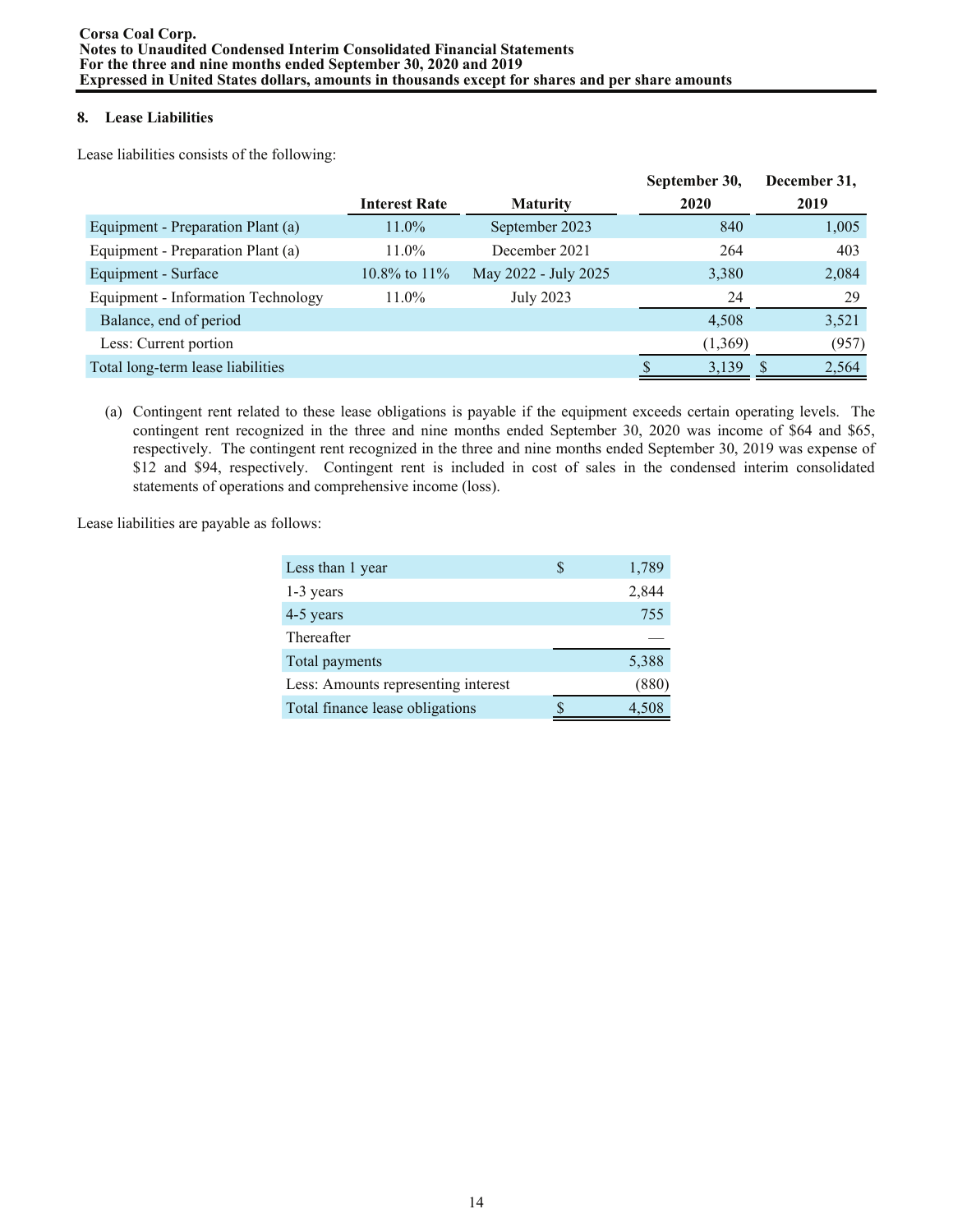# **8. Lease Liabilities**

Lease liabilities consists of the following:

|                                    |                      |                      | September 30, | December 31, |
|------------------------------------|----------------------|----------------------|---------------|--------------|
|                                    | <b>Interest Rate</b> | <b>Maturity</b>      | 2020          | 2019         |
| Equipment - Preparation Plant (a)  | $11.0\%$             | September 2023       | 840           | 1,005        |
| Equipment - Preparation Plant (a)  | $11.0\%$             | December 2021        | 264           | 403          |
| Equipment - Surface                | $10.8\%$ to $11\%$   | May 2022 - July 2025 | 3,380         | 2,084        |
| Equipment - Information Technology | 11.0%                | <b>July 2023</b>     | 24            | 29           |
| Balance, end of period             |                      |                      | 4,508         | 3,521        |
| Less: Current portion              |                      |                      | (1,369)       | (957)        |
| Total long-term lease liabilities  |                      |                      | 3,139         | 2,564        |

(a) Contingent rent related to these lease obligations is payable if the equipment exceeds certain operating levels. The contingent rent recognized in the three and nine months ended September 30, 2020 was income of \$64 and \$65, respectively. The contingent rent recognized in the three and nine months ended September 30, 2019 was expense of \$12 and \$94, respectively. Contingent rent is included in cost of sales in the condensed interim consolidated statements of operations and comprehensive income (loss).

Lease liabilities are payable as follows:

| Less than 1 year                    | 1,789 |
|-------------------------------------|-------|
| 1-3 years                           | 2,844 |
| 4-5 years                           | 755   |
| Thereafter                          |       |
| Total payments                      | 5,388 |
| Less: Amounts representing interest | (880) |
| Total finance lease obligations     | 4,508 |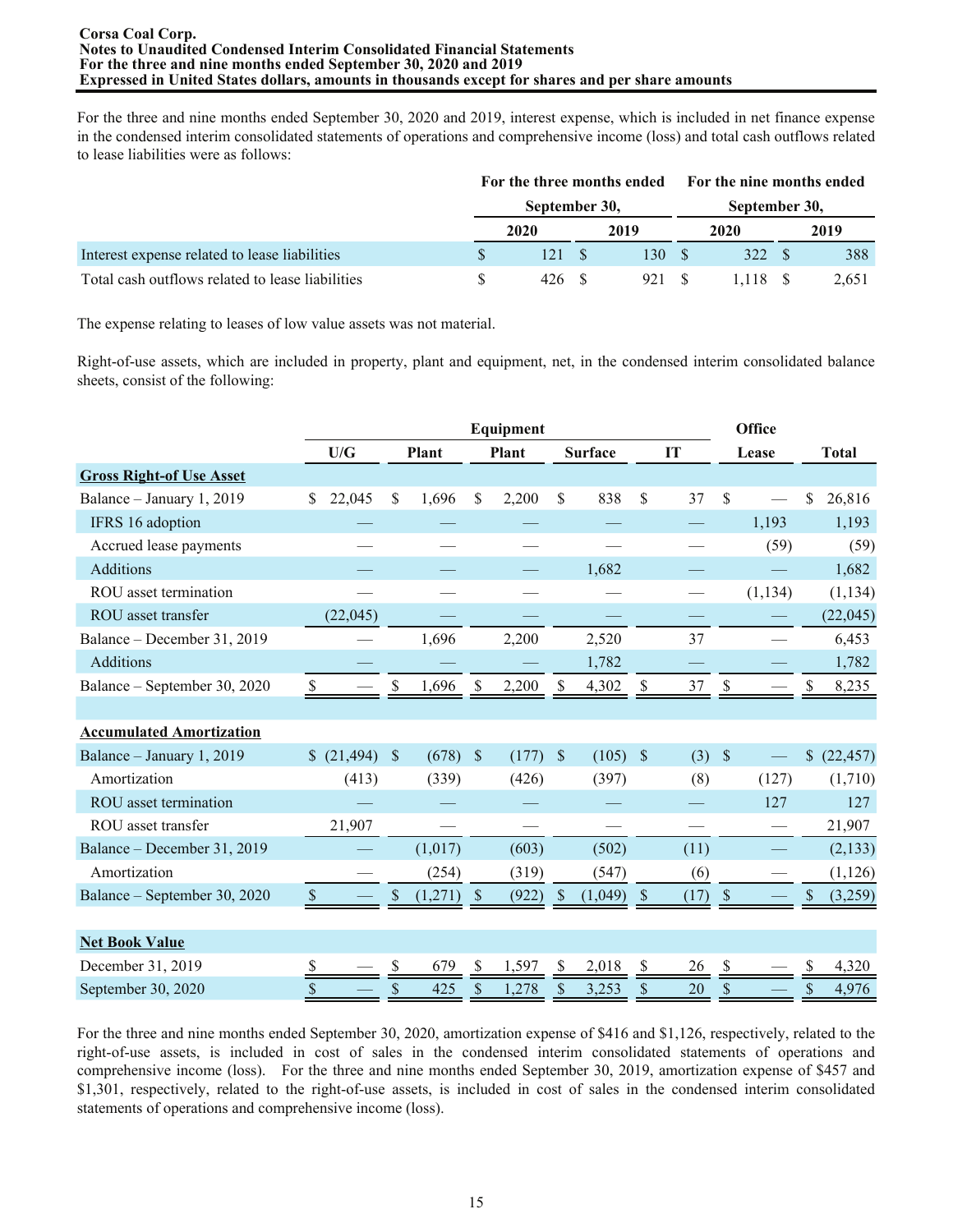For the three and nine months ended September 30, 2020 and 2019, interest expense, which is included in net finance expense in the condensed interim consolidated statements of operations and comprehensive income (loss) and total cash outflows related to lease liabilities were as follows:

|                                                  |               |  |               | For the three months ended For the nine months ended |           |  |       |  |
|--------------------------------------------------|---------------|--|---------------|------------------------------------------------------|-----------|--|-------|--|
|                                                  | September 30, |  | September 30, |                                                      |           |  |       |  |
|                                                  | 2020          |  | 2019          |                                                      | 2020      |  | 2019  |  |
| Interest expense related to lease liabilities    | 121           |  | 130.          |                                                      | 322       |  | 388   |  |
| Total cash outflows related to lease liabilities | 426 S         |  | 921           |                                                      | 1 1 1 8 1 |  | 2,651 |  |

The expense relating to leases of low value assets was not material.

Right-of-use assets, which are included in property, plant and equipment, net, in the condensed interim consolidated balance sheets, consist of the following:

|                                 |               |               |         |               | Equipment |               |                |               |      |               | Office   |                           |              |
|---------------------------------|---------------|---------------|---------|---------------|-----------|---------------|----------------|---------------|------|---------------|----------|---------------------------|--------------|
|                                 | U/G           |               | Plant   |               | Plant     |               | <b>Surface</b> |               | IT   |               | Lease    |                           | <b>Total</b> |
| <b>Gross Right-of Use Asset</b> |               |               |         |               |           |               |                |               |      |               |          |                           |              |
| Balance - January 1, 2019       | 22,045<br>\$  | \$            | 1,696   | \$            | 2,200     | \$            | 838            | \$            | 37   | \$            |          | \$                        | 26,816       |
| IFRS 16 adoption                |               |               |         |               |           |               |                |               |      |               | 1,193    |                           | 1,193        |
| Accrued lease payments          |               |               |         |               |           |               |                |               |      |               | (59)     |                           | (59)         |
| Additions                       |               |               |         |               |           |               | 1,682          |               |      |               |          |                           | 1,682        |
| ROU asset termination           |               |               |         |               |           |               |                |               |      |               | (1, 134) |                           | (1, 134)     |
| ROU asset transfer              | (22,045)      |               |         |               |           |               |                |               |      |               |          |                           | (22, 045)    |
| Balance - December 31, 2019     |               |               | 1,696   |               | 2,200     |               | 2,520          |               | 37   |               |          |                           | 6,453        |
| Additions                       |               |               |         |               |           |               | 1,782          |               |      |               |          |                           | 1,782        |
| Balance - September 30, 2020    | $\mathcal{S}$ |               | 1,696   | \$            | 2,200     | S             | 4,302          |               | 37   | S             |          | S                         | 8,235        |
|                                 |               |               |         |               |           |               |                |               |      |               |          |                           |              |
| <b>Accumulated Amortization</b> |               |               |         |               |           |               |                |               |      |               |          |                           |              |
| Balance - January 1, 2019       | \$(21,494)    | $\mathsf{\$}$ | (678)   | $\mathcal{S}$ | (177)     | \$            | (105)          | $\mathcal{S}$ | (3)  | $\mathcal{S}$ |          | $\boldsymbol{\mathsf{S}}$ | (22, 457)    |
| Amortization                    | (413)         |               | (339)   |               | (426)     |               | (397)          |               | (8)  |               | (127)    |                           | (1,710)      |
| ROU asset termination           |               |               |         |               |           |               |                |               |      |               | 127      |                           | 127          |
| ROU asset transfer              | 21,907        |               |         |               |           |               |                |               |      |               |          |                           | 21,907       |
| Balance - December 31, 2019     |               |               | (1,017) |               | (603)     |               | (502)          |               | (11) |               |          |                           | (2,133)      |
| Amortization                    |               |               | (254)   |               | (319)     |               | (547)          |               | (6)  |               |          |                           | (1, 126)     |
| Balance - September 30, 2020    | $\mathcal{S}$ |               | (1,271) | <sup>\$</sup> | (922)     | S             | (1,049)        | \$            | (17) |               |          | \$                        | (3,259)      |
|                                 |               |               |         |               |           |               |                |               |      |               |          |                           |              |
| <b>Net Book Value</b>           |               |               |         |               |           |               |                |               |      |               |          |                           |              |
| December 31, 2019               | S             |               | 679     | \$            | 1,597     | S             | 2,018          | S             | 26   |               |          | S                         | 4,320        |
| September 30, 2020              | \$            | \$            | 425     | \$            | 1,278     | <sup>\$</sup> | 3,253          | \$            | 20   | \$            |          | \$                        | 4,976        |

For the three and nine months ended September 30, 2020, amortization expense of \$416 and \$1,126, respectively, related to the right-of-use assets, is included in cost of sales in the condensed interim consolidated statements of operations and comprehensive income (loss). For the three and nine months ended September 30, 2019, amortization expense of \$457 and \$1,301, respectively, related to the right-of-use assets, is included in cost of sales in the condensed interim consolidated statements of operations and comprehensive income (loss).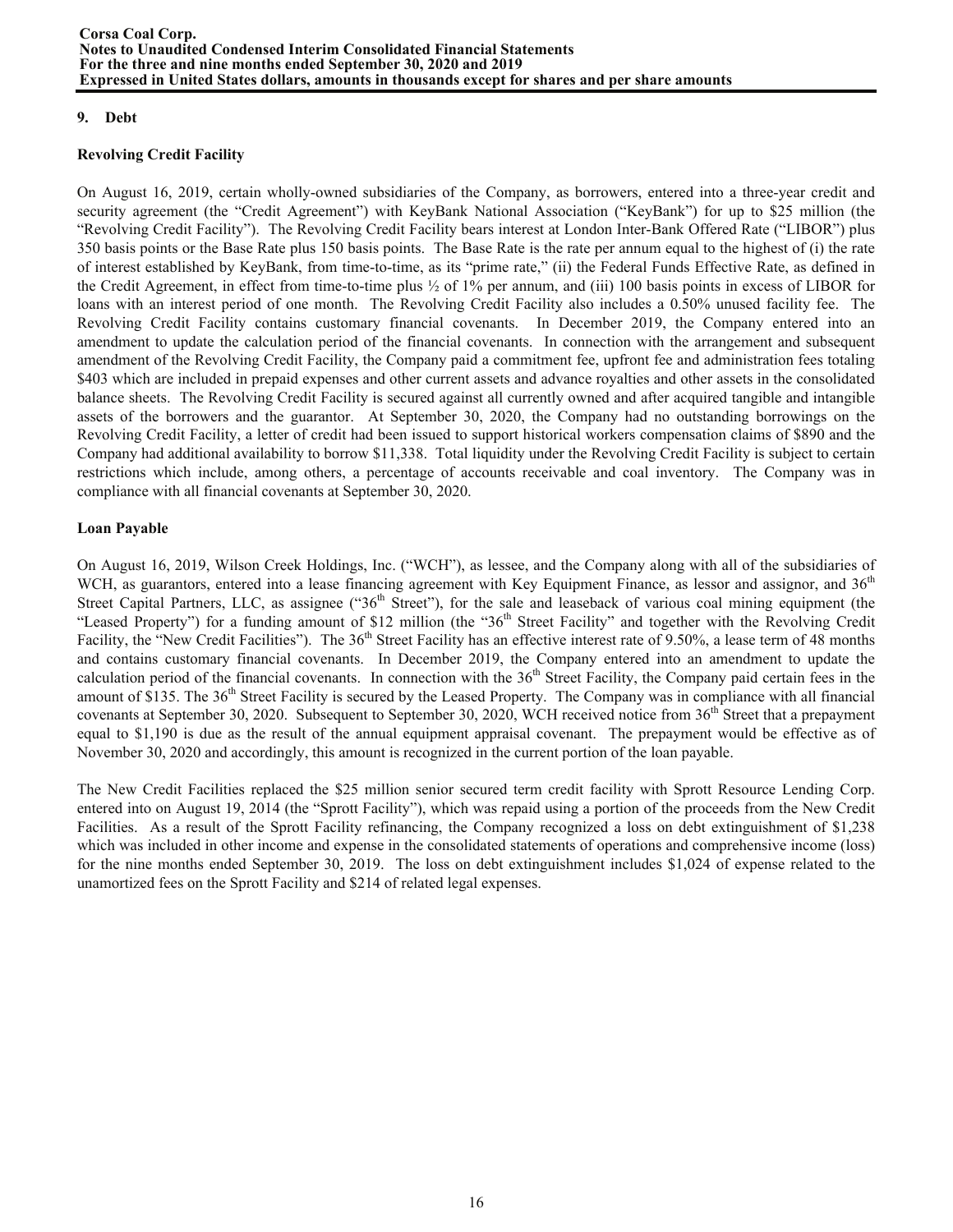# **9. Debt**

# **Revolving Credit Facility**

On August 16, 2019, certain wholly-owned subsidiaries of the Company, as borrowers, entered into a three-year credit and security agreement (the "Credit Agreement") with KeyBank National Association ("KeyBank") for up to \$25 million (the "Revolving Credit Facility"). The Revolving Credit Facility bears interest at London Inter-Bank Offered Rate ("LIBOR") plus 350 basis points or the Base Rate plus 150 basis points. The Base Rate is the rate per annum equal to the highest of (i) the rate of interest established by KeyBank, from time-to-time, as its "prime rate," (ii) the Federal Funds Effective Rate, as defined in the Credit Agreement, in effect from time-to-time plus ½ of 1% per annum, and (iii) 100 basis points in excess of LIBOR for loans with an interest period of one month. The Revolving Credit Facility also includes a 0.50% unused facility fee. The Revolving Credit Facility contains customary financial covenants. In December 2019, the Company entered into an amendment to update the calculation period of the financial covenants. In connection with the arrangement and subsequent amendment of the Revolving Credit Facility, the Company paid a commitment fee, upfront fee and administration fees totaling \$403 which are included in prepaid expenses and other current assets and advance royalties and other assets in the consolidated balance sheets. The Revolving Credit Facility is secured against all currently owned and after acquired tangible and intangible assets of the borrowers and the guarantor. At September 30, 2020, the Company had no outstanding borrowings on the Revolving Credit Facility, a letter of credit had been issued to support historical workers compensation claims of \$890 and the Company had additional availability to borrow \$11,338. Total liquidity under the Revolving Credit Facility is subject to certain restrictions which include, among others, a percentage of accounts receivable and coal inventory. The Company was in compliance with all financial covenants at September 30, 2020.

# **Loan Payable**

On August 16, 2019, Wilson Creek Holdings, Inc. ("WCH"), as lessee, and the Company along with all of the subsidiaries of WCH, as guarantors, entered into a lease financing agreement with Key Equipment Finance, as lessor and assignor, and 36<sup>th</sup> Street Capital Partners, LLC, as assignee (" $36<sup>th</sup>$  Street"), for the sale and leaseback of various coal mining equipment (the "Leased Property") for a funding amount of \$12 million (the " $36<sup>th</sup>$  Street Facility" and together with the Revolving Credit Facility, the "New Credit Facilities"). The 36<sup>th</sup> Street Facility has an effective interest rate of 9.50%, a lease term of 48 months and contains customary financial covenants. In December 2019, the Company entered into an amendment to update the calculation period of the financial covenants. In connection with the 36<sup>th</sup> Street Facility, the Company paid certain fees in the amount of \$135. The  $36<sup>th</sup>$  Street Facility is secured by the Leased Property. The Company was in compliance with all financial covenants at September 30, 2020. Subsequent to September 30, 2020, WCH received notice from  $36<sup>th</sup>$  Street that a prepayment equal to \$1,190 is due as the result of the annual equipment appraisal covenant. The prepayment would be effective as of November 30, 2020 and accordingly, this amount is recognized in the current portion of the loan payable.

The New Credit Facilities replaced the \$25 million senior secured term credit facility with Sprott Resource Lending Corp. entered into on August 19, 2014 (the "Sprott Facility"), which was repaid using a portion of the proceeds from the New Credit Facilities. As a result of the Sprott Facility refinancing, the Company recognized a loss on debt extinguishment of \$1,238 which was included in other income and expense in the consolidated statements of operations and comprehensive income (loss) for the nine months ended September 30, 2019. The loss on debt extinguishment includes \$1,024 of expense related to the unamortized fees on the Sprott Facility and \$214 of related legal expenses.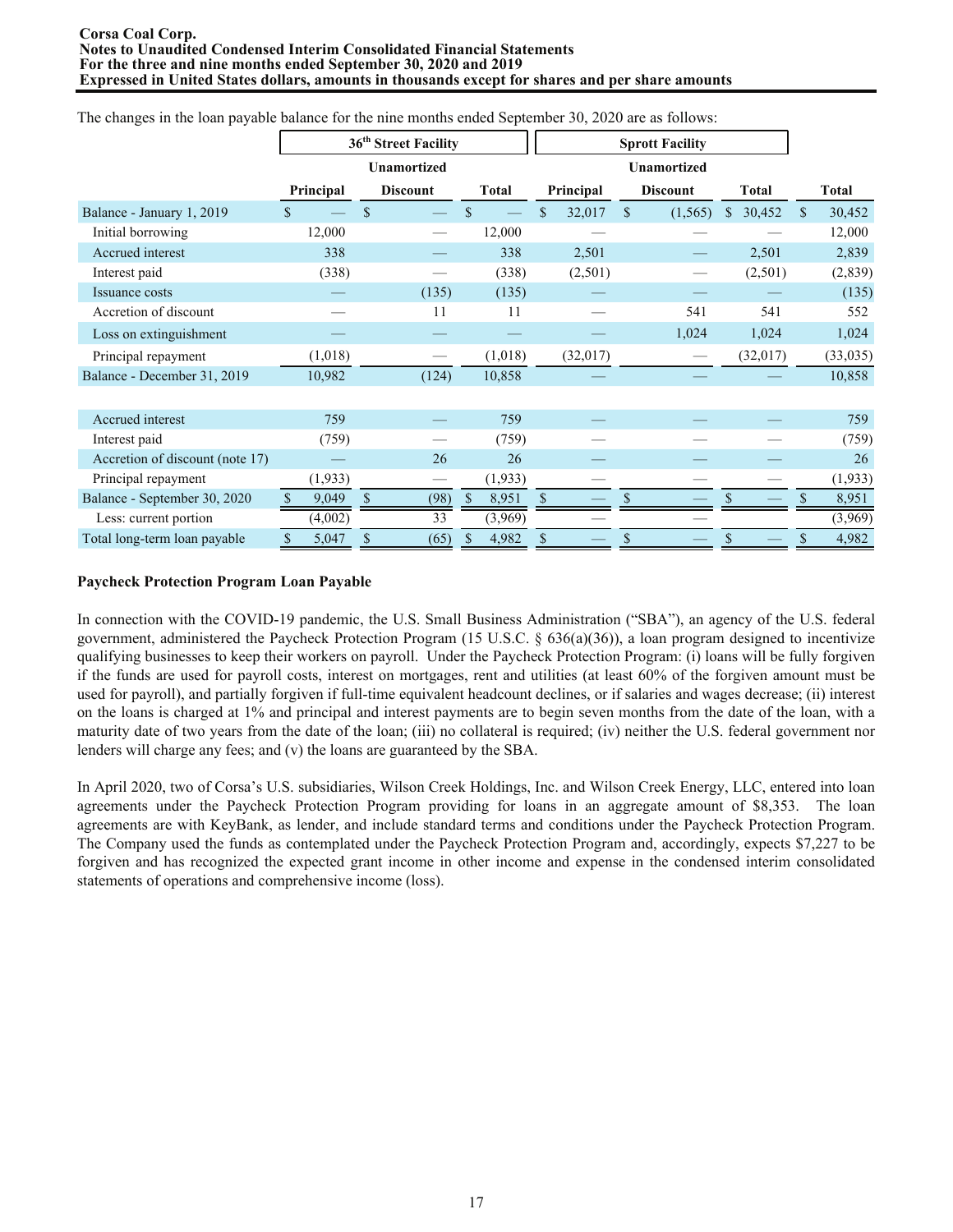| enanges in the four paymere culture for the nine includio enable sep- |           | 36 <sup>th</sup> Street Facility |    |              |                    |           |    | <b>Sprott Facility</b> |              |              |             |          |
|-----------------------------------------------------------------------|-----------|----------------------------------|----|--------------|--------------------|-----------|----|------------------------|--------------|--------------|-------------|----------|
|                                                                       |           | <b>Unamortized</b>               |    |              | <b>Unamortized</b> |           |    |                        |              |              |             |          |
|                                                                       | Principal | <b>Discount</b>                  |    | <b>Total</b> |                    | Principal |    | <b>Discount</b>        |              | <b>Total</b> |             | Total    |
| Balance - January 1, 2019                                             |           | \$                               | \$ |              | \$                 | 32,017    | \$ | (1, 565)               | $\mathbb{S}$ | 30,452       | $\mathbf S$ | 30,452   |
| Initial borrowing                                                     | 12,000    |                                  |    | 12,000       |                    |           |    |                        |              |              |             | 12,000   |
| Accrued interest                                                      | 338       |                                  |    | 338          |                    | 2,501     |    |                        |              | 2,501        |             | 2,839    |
| Interest paid                                                         | (338)     |                                  |    | (338)        |                    | (2,501)   |    |                        |              | (2,501)      |             | (2,839)  |
| Issuance costs                                                        |           | (135)                            |    | (135)        |                    |           |    |                        |              |              |             | (135)    |
| Accretion of discount                                                 |           | 11                               |    | 11           |                    |           |    | 541                    |              | 541          |             | 552      |
| Loss on extinguishment                                                |           |                                  |    |              |                    |           |    | 1,024                  |              | 1,024        |             | 1,024    |
| Principal repayment                                                   | (1,018)   |                                  |    | (1,018)      |                    | (32,017)  |    |                        |              | (32,017)     |             | (33,035) |
| Balance - December 31, 2019                                           | 10,982    | (124)                            |    | 10,858       |                    |           |    |                        |              |              |             | 10,858   |
|                                                                       |           |                                  |    |              |                    |           |    |                        |              |              |             |          |
| Accrued interest                                                      | 759       |                                  |    | 759          |                    |           |    |                        |              |              |             | 759      |
| Interest paid                                                         | (759)     |                                  |    | (759)        |                    |           |    |                        |              |              |             | (759)    |
| Accretion of discount (note 17)                                       |           | 26                               |    | 26           |                    |           |    |                        |              |              |             | 26       |
| Principal repayment                                                   | (1,933)   |                                  |    | (1,933)      |                    |           |    |                        |              |              |             | (1,933)  |
| Balance - September 30, 2020                                          | 9,049     | (98)                             | -S | 8,951        |                    |           |    |                        |              |              |             | 8,951    |
| Less: current portion                                                 | (4,002)   | 33                               |    | (3,969)      |                    |           |    |                        |              |              |             | (3,969)  |
| Total long-term loan payable                                          | 5,047     | (65)                             |    | 4,982        |                    |           |    |                        |              |              |             | 4,982    |

The changes in the loan payable balance for the nine months ended September 30, 2020 are as follows:

# **Paycheck Protection Program Loan Payable**

In connection with the COVID-19 pandemic, the U.S. Small Business Administration ("SBA"), an agency of the U.S. federal government, administered the Paycheck Protection Program (15 U.S.C. § 636(a)(36)), a loan program designed to incentivize qualifying businesses to keep their workers on payroll. Under the Paycheck Protection Program: (i) loans will be fully forgiven if the funds are used for payroll costs, interest on mortgages, rent and utilities (at least 60% of the forgiven amount must be used for payroll), and partially forgiven if full-time equivalent headcount declines, or if salaries and wages decrease; (ii) interest on the loans is charged at 1% and principal and interest payments are to begin seven months from the date of the loan, with a maturity date of two years from the date of the loan; (iii) no collateral is required; (iv) neither the U.S. federal government nor lenders will charge any fees; and (v) the loans are guaranteed by the SBA.

In April 2020, two of Corsa's U.S. subsidiaries, Wilson Creek Holdings, Inc. and Wilson Creek Energy, LLC, entered into loan agreements under the Paycheck Protection Program providing for loans in an aggregate amount of \$8,353. The loan agreements are with KeyBank, as lender, and include standard terms and conditions under the Paycheck Protection Program. The Company used the funds as contemplated under the Paycheck Protection Program and, accordingly, expects \$7,227 to be forgiven and has recognized the expected grant income in other income and expense in the condensed interim consolidated statements of operations and comprehensive income (loss).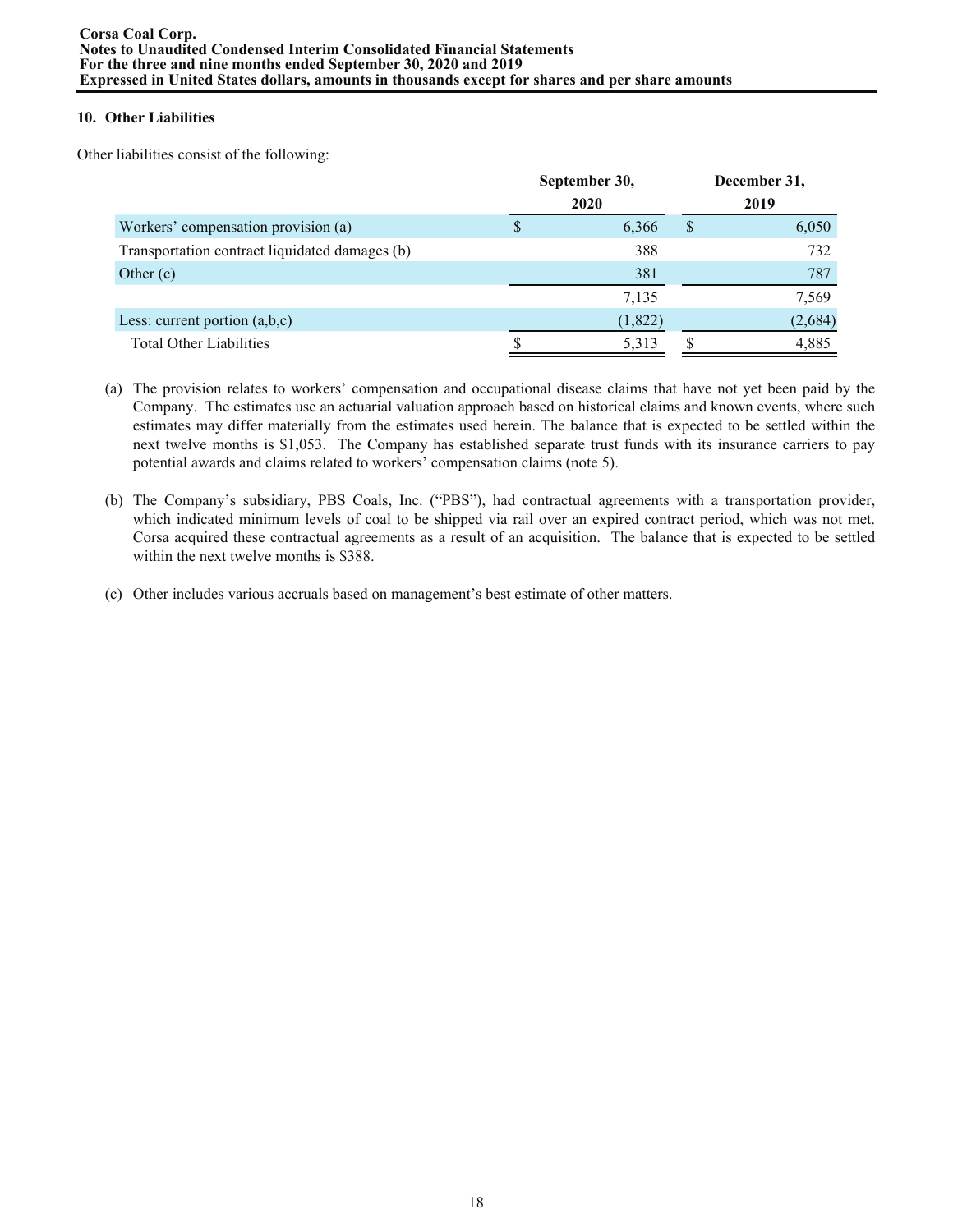# **10. Other Liabilities**

Other liabilities consist of the following:

|                                                | September 30, | December 31, |          |  |  |  |
|------------------------------------------------|---------------|--------------|----------|--|--|--|
|                                                | 2020          |              | 2019     |  |  |  |
| Workers' compensation provision (a)            | 6,366         |              | 6,050    |  |  |  |
| Transportation contract liquidated damages (b) | 388           |              | 732      |  |  |  |
| Other $(c)$                                    | 381           |              | 787      |  |  |  |
|                                                | 7,135         |              | 7,569    |  |  |  |
| Less: current portion $(a,b,c)$                | (1,822)       |              | (2, 684) |  |  |  |
| <b>Total Other Liabilities</b>                 | 5,313         |              | 4,885    |  |  |  |

- (a) The provision relates to workers' compensation and occupational disease claims that have not yet been paid by the Company. The estimates use an actuarial valuation approach based on historical claims and known events, where such estimates may differ materially from the estimates used herein. The balance that is expected to be settled within the next twelve months is \$1,053. The Company has established separate trust funds with its insurance carriers to pay potential awards and claims related to workers' compensation claims (note 5).
- (b) The Company's subsidiary, PBS Coals, Inc. ("PBS"), had contractual agreements with a transportation provider, which indicated minimum levels of coal to be shipped via rail over an expired contract period, which was not met. Corsa acquired these contractual agreements as a result of an acquisition. The balance that is expected to be settled within the next twelve months is \$388.
- (c) Other includes various accruals based on management's best estimate of other matters.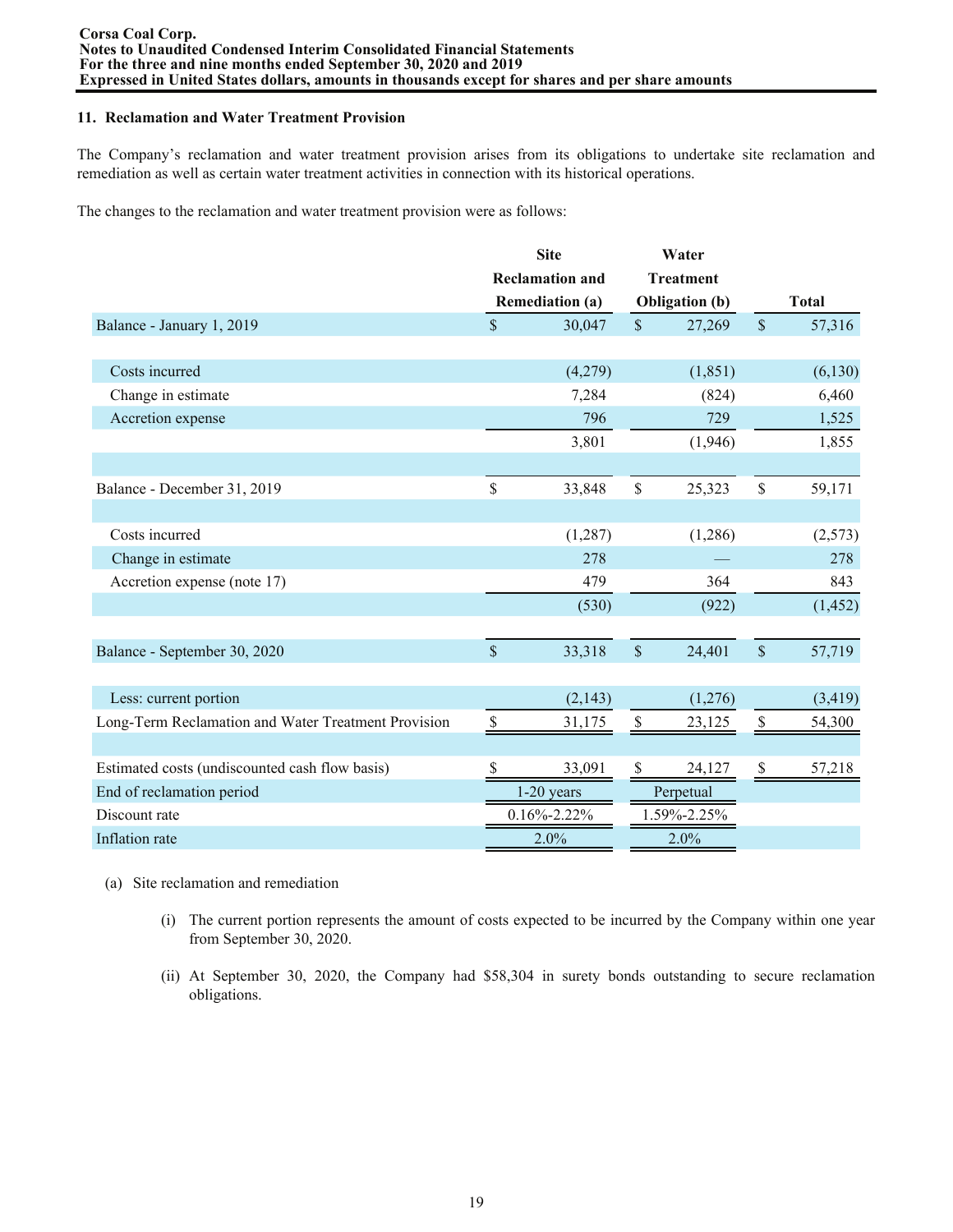### **11. Reclamation and Water Treatment Provision**

The Company's reclamation and water treatment provision arises from its obligations to undertake site reclamation and remediation as well as certain water treatment activities in connection with its historical operations.

The changes to the reclamation and water treatment provision were as follows:

|                                                     |                    | <b>Site</b>            |               | Water                 |               |              |
|-----------------------------------------------------|--------------------|------------------------|---------------|-----------------------|---------------|--------------|
|                                                     |                    | <b>Reclamation and</b> |               | <b>Treatment</b>      |               |              |
|                                                     |                    | <b>Remediation (a)</b> |               | <b>Obligation</b> (b) |               | <b>Total</b> |
| Balance - January 1, 2019                           | $\mathsf{\$}$      | 30,047                 | $\mathsf{\$}$ | 27,269                | $\mathsf{\$}$ | 57,316       |
|                                                     |                    |                        |               |                       |               |              |
| Costs incurred                                      |                    | (4,279)                |               | (1, 851)              |               | (6, 130)     |
| Change in estimate                                  |                    | 7,284                  |               | (824)                 |               | 6,460        |
| Accretion expense                                   |                    | 796                    |               | 729                   |               | 1,525        |
|                                                     |                    | 3,801                  |               | (1,946)               |               | 1,855        |
|                                                     |                    |                        |               |                       |               |              |
| Balance - December 31, 2019                         | \$                 | 33,848                 | \$            | 25,323                | \$            | 59,171       |
|                                                     |                    |                        |               |                       |               |              |
| Costs incurred                                      |                    | (1, 287)               |               | (1,286)               |               | (2,573)      |
| Change in estimate                                  |                    | 278                    |               |                       |               | 278          |
| Accretion expense (note 17)                         |                    | 479                    |               | 364                   |               | 843          |
|                                                     |                    | (530)                  |               | (922)                 |               | (1, 452)     |
|                                                     |                    |                        |               |                       |               |              |
| Balance - September 30, 2020                        | $\mathbf{\hat{S}}$ | 33,318                 | $\mathsf{\$}$ | 24,401                | $\mathsf{\$}$ | 57,719       |
|                                                     |                    |                        |               |                       |               |              |
| Less: current portion                               |                    | (2,143)                |               | (1,276)               |               | (3, 419)     |
| Long-Term Reclamation and Water Treatment Provision | \$                 | 31,175                 | \$            | 23,125                | $\$$          | 54,300       |
|                                                     |                    |                        |               |                       |               |              |
| Estimated costs (undiscounted cash flow basis)      | S                  | 33,091                 | \$            | 24,127                | \$            | 57,218       |
| End of reclamation period                           |                    | $1-20$ years           |               | Perpetual             |               |              |
| Discount rate                                       |                    | $0.16\% - 2.22\%$      |               | 1.59%-2.25%           |               |              |
| Inflation rate                                      |                    | 2.0%                   |               | 2.0%                  |               |              |

- (a) Site reclamation and remediation
	- (i) The current portion represents the amount of costs expected to be incurred by the Company within one year from September 30, 2020.
	- (ii) At September 30, 2020, the Company had \$58,304 in surety bonds outstanding to secure reclamation obligations.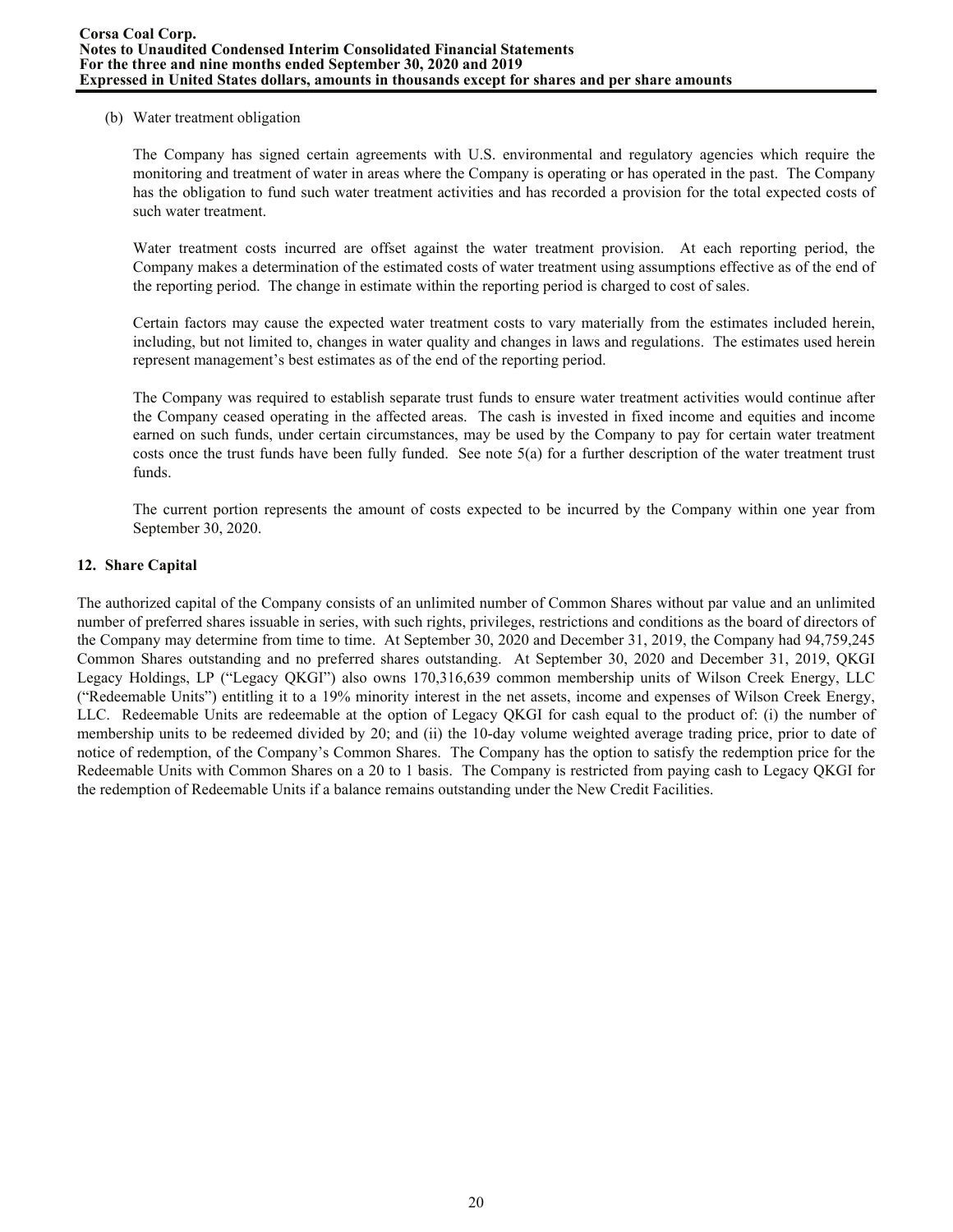### (b) Water treatment obligation

The Company has signed certain agreements with U.S. environmental and regulatory agencies which require the monitoring and treatment of water in areas where the Company is operating or has operated in the past. The Company has the obligation to fund such water treatment activities and has recorded a provision for the total expected costs of such water treatment.

Water treatment costs incurred are offset against the water treatment provision. At each reporting period, the Company makes a determination of the estimated costs of water treatment using assumptions effective as of the end of the reporting period. The change in estimate within the reporting period is charged to cost of sales.

Certain factors may cause the expected water treatment costs to vary materially from the estimates included herein, including, but not limited to, changes in water quality and changes in laws and regulations. The estimates used herein represent management's best estimates as of the end of the reporting period.

The Company was required to establish separate trust funds to ensure water treatment activities would continue after the Company ceased operating in the affected areas. The cash is invested in fixed income and equities and income earned on such funds, under certain circumstances, may be used by the Company to pay for certain water treatment costs once the trust funds have been fully funded. See note  $5(a)$  for a further description of the water treatment trust funds.

The current portion represents the amount of costs expected to be incurred by the Company within one year from September 30, 2020.

# **12. Share Capital**

The authorized capital of the Company consists of an unlimited number of Common Shares without par value and an unlimited number of preferred shares issuable in series, with such rights, privileges, restrictions and conditions as the board of directors of the Company may determine from time to time. At September 30, 2020 and December 31, 2019, the Company had 94,759,245 Common Shares outstanding and no preferred shares outstanding. At September 30, 2020 and December 31, 2019, QKGI Legacy Holdings, LP ("Legacy QKGI") also owns 170,316,639 common membership units of Wilson Creek Energy, LLC ("Redeemable Units") entitling it to a 19% minority interest in the net assets, income and expenses of Wilson Creek Energy, LLC. Redeemable Units are redeemable at the option of Legacy QKGI for cash equal to the product of: (i) the number of membership units to be redeemed divided by 20; and (ii) the 10-day volume weighted average trading price, prior to date of notice of redemption, of the Company's Common Shares. The Company has the option to satisfy the redemption price for the Redeemable Units with Common Shares on a 20 to 1 basis. The Company is restricted from paying cash to Legacy QKGI for the redemption of Redeemable Units if a balance remains outstanding under the New Credit Facilities.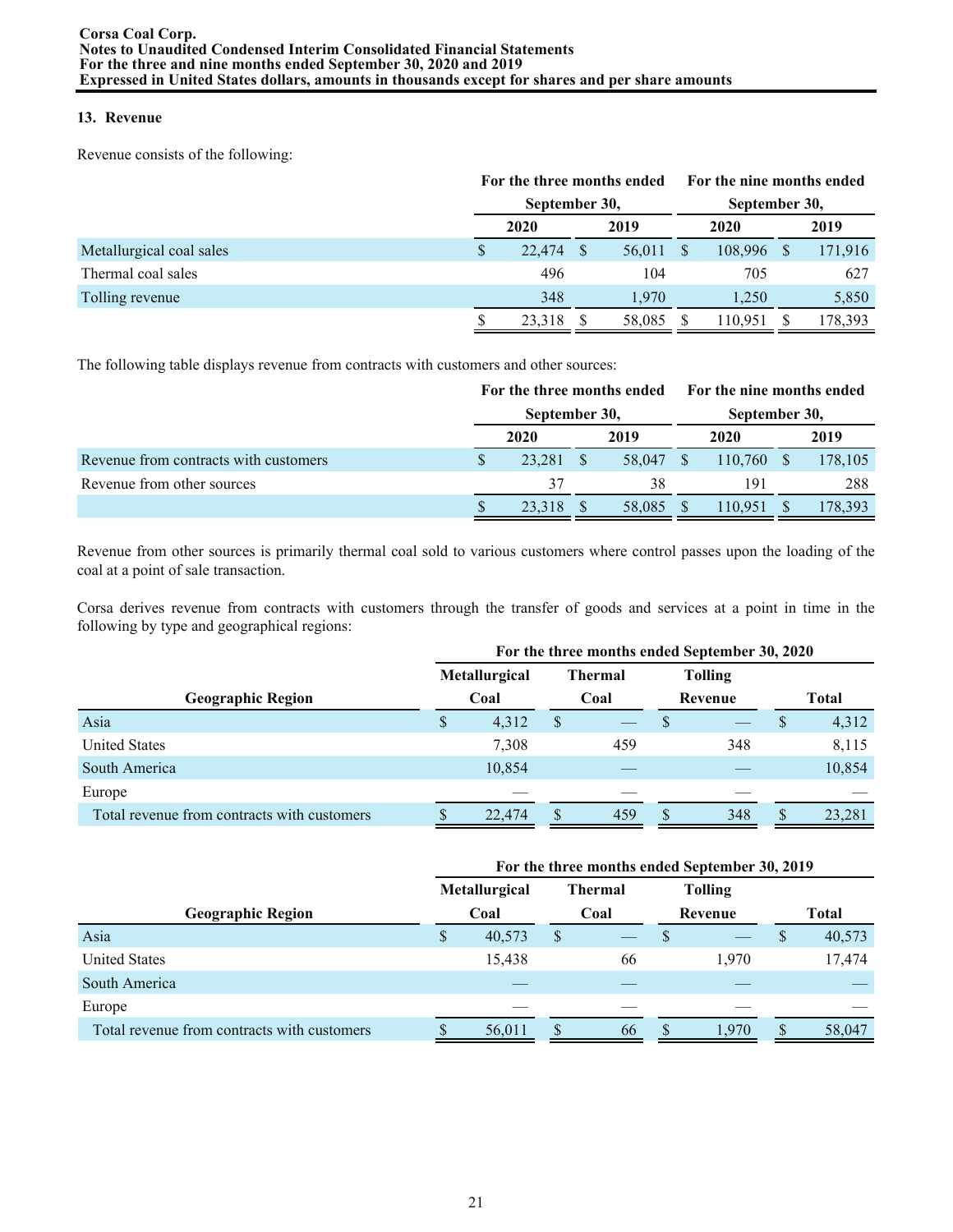# **13. Revenue**

Revenue consists of the following:

|                          |     | For the three months ended |               |        | For the nine months ended |         |      |         |
|--------------------------|-----|----------------------------|---------------|--------|---------------------------|---------|------|---------|
|                          |     | September 30,              |               |        | September 30,             |         |      |         |
|                          |     | 2020                       | 2019          |        |                           | 2020    | 2019 |         |
| Metallurgical coal sales | \$. | 22,474                     | <sup>\$</sup> | 56,011 |                           | 108,996 |      | 171,916 |
| Thermal coal sales       |     | 496                        |               | 104    |                           | 705     |      | 627     |
| Tolling revenue          |     | 348                        |               | 1.970  |                           | 1,250   |      | 5,850   |
|                          |     | 23,318                     |               | 58,085 |                           | 110.951 |      | 178,393 |

The following table displays revenue from contracts with customers and other sources:

|                                       | For the three months ended |        |  |        |  |               | <b>Example 15 For the nine months ended</b> |         |  |
|---------------------------------------|----------------------------|--------|--|--------|--|---------------|---------------------------------------------|---------|--|
|                                       | September 30,              |        |  |        |  | September 30, |                                             |         |  |
|                                       |                            | 2020   |  | 2019   |  | 2020          |                                             | 2019    |  |
| Revenue from contracts with customers |                            | 23.281 |  | 58,047 |  | 110,760       |                                             | 178,105 |  |
| Revenue from other sources            |                            | 37     |  | 38     |  | 191           |                                             | 288     |  |
|                                       |                            | 23.318 |  | 58,085 |  | 110.951       |                                             | 178,393 |  |

Revenue from other sources is primarily thermal coal sold to various customers where control passes upon the loading of the coal at a point of sale transaction.

Corsa derives revenue from contracts with customers through the transfer of goods and services at a point in time in the following by type and geographical regions:

|                                             | For the three months ended September 30, 2020 |                      |   |                |    |                |       |        |  |  |  |  |
|---------------------------------------------|-----------------------------------------------|----------------------|---|----------------|----|----------------|-------|--------|--|--|--|--|
|                                             |                                               | <b>Metallurgical</b> |   | <b>Thermal</b> |    | <b>Tolling</b> |       |        |  |  |  |  |
| <b>Geographic Region</b>                    |                                               | Coal                 |   | Coal           |    | Revenue        | Total |        |  |  |  |  |
| Asia                                        | $\mathbb{S}$                                  | 4,312                | S |                |    |                | S     | 4,312  |  |  |  |  |
| <b>United States</b>                        |                                               | 7,308                |   | 459            |    | 348            |       | 8,115  |  |  |  |  |
| South America                               |                                               | 10,854               |   |                |    |                |       | 10,854 |  |  |  |  |
| Europe                                      |                                               |                      |   |                |    |                |       |        |  |  |  |  |
| Total revenue from contracts with customers |                                               | 22,474               |   | 459            | S. | 348            | \$.   | 23,281 |  |  |  |  |

|                                             |      | For the three months ended September 30, 2019 |   |                |                |         |     |        |  |
|---------------------------------------------|------|-----------------------------------------------|---|----------------|----------------|---------|-----|--------|--|
|                                             |      | Metallurgical                                 |   | <b>Thermal</b> | <b>Tolling</b> |         |     |        |  |
| <b>Geographic Region</b>                    | Coal |                                               |   | Coal           |                | Revenue |     | Total  |  |
| Asia                                        | S    | 40,573                                        | S |                |                |         | D   | 40,573 |  |
| <b>United States</b>                        |      | 15,438                                        |   | 66             |                | 1.970   |     | 17,474 |  |
| South America                               |      |                                               |   |                |                |         |     |        |  |
| Europe                                      |      |                                               |   |                |                |         |     |        |  |
| Total revenue from contracts with customers |      | 56,011                                        |   | 66             |                | 1.970   | \$. | 58,047 |  |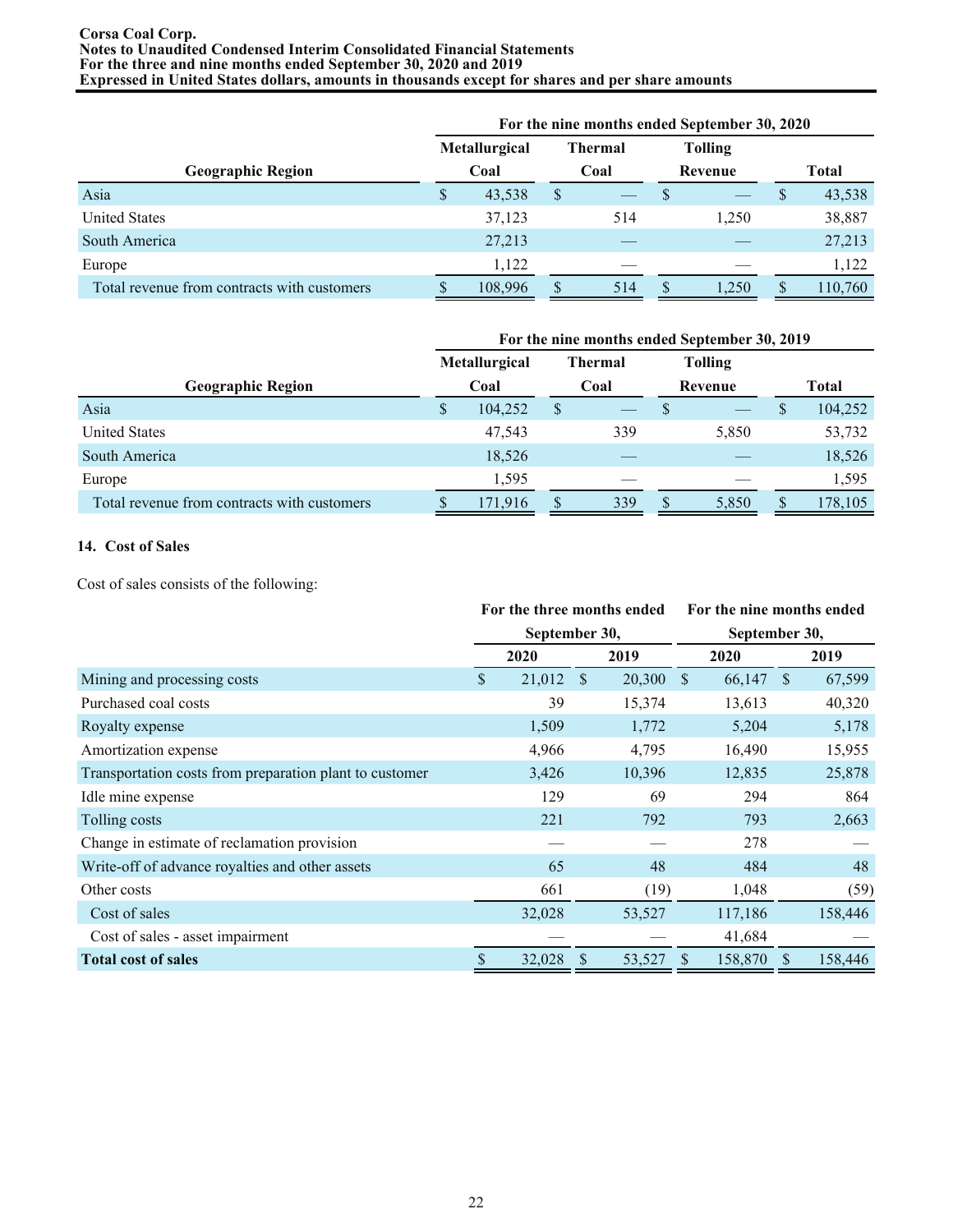|                                             |      | For the nine months ended September 30, 2020 |   |                                  |  |         |  |         |
|---------------------------------------------|------|----------------------------------------------|---|----------------------------------|--|---------|--|---------|
|                                             |      | Metallurgical                                |   | <b>Thermal</b><br><b>Tolling</b> |  |         |  |         |
| <b>Geographic Region</b>                    | Coal |                                              |   | Coal                             |  | Revenue |  | Total   |
| Asia                                        | \$   | 43,538                                       | S |                                  |  |         |  | 43,538  |
| <b>United States</b>                        |      | 37,123                                       |   | 514                              |  | 1.250   |  | 38,887  |
| South America                               |      | 27,213                                       |   |                                  |  |         |  | 27,213  |
| Europe                                      |      | 1,122                                        |   |                                  |  |         |  | 1,122   |
| Total revenue from contracts with customers |      | 108,996                                      |   | 514                              |  | .250    |  | 110,760 |

|                                             |      | For the nine months ended September 30, 2019 |                |      |  |                |   |         |
|---------------------------------------------|------|----------------------------------------------|----------------|------|--|----------------|---|---------|
|                                             |      | Metallurgical                                | <b>Thermal</b> |      |  | <b>Tolling</b> |   |         |
| <b>Geographic Region</b>                    | Coal |                                              |                | Coal |  | Revenue        |   | Total   |
| Asia                                        | \$   | 104.252                                      |                |      |  |                |   | 104,252 |
| <b>United States</b>                        |      | 47,543                                       |                | 339  |  | 5,850          |   | 53,732  |
| South America                               |      | 18,526                                       |                |      |  |                |   | 18,526  |
| Europe                                      |      | 1,595                                        |                |      |  |                |   | 1,595   |
| Total revenue from contracts with customers |      | 171,916                                      |                | 339  |  | 5,850          | S | 178,105 |

# **14. Cost of Sales**

Cost of sales consists of the following:

|                                                         | For the three months ended |        |              |             |               | For the nine months ended |   |         |  |  |  |
|---------------------------------------------------------|----------------------------|--------|--------------|-------------|---------------|---------------------------|---|---------|--|--|--|
|                                                         | September 30,              |        |              |             | September 30, |                           |   |         |  |  |  |
|                                                         |                            | 2020   |              | 2019        |               | 2020                      |   | 2019    |  |  |  |
| Mining and processing costs                             | \$                         | 21,012 | <sup>S</sup> | $20,300$ \$ |               | 66,147 \$                 |   | 67,599  |  |  |  |
| Purchased coal costs                                    |                            | 39     |              | 15,374      |               | 13,613                    |   | 40,320  |  |  |  |
| Royalty expense                                         |                            | 1,509  |              | 1,772       |               | 5,204                     |   | 5,178   |  |  |  |
| Amortization expense                                    |                            | 4,966  |              | 4,795       |               | 16,490                    |   | 15,955  |  |  |  |
| Transportation costs from preparation plant to customer |                            | 3,426  |              | 10,396      |               | 12,835                    |   | 25,878  |  |  |  |
| Idle mine expense                                       |                            | 129    |              | 69          |               | 294                       |   | 864     |  |  |  |
| Tolling costs                                           |                            | 221    |              | 792         |               | 793                       |   | 2,663   |  |  |  |
| Change in estimate of reclamation provision             |                            |        |              |             |               | 278                       |   |         |  |  |  |
| Write-off of advance royalties and other assets         |                            | 65     |              | 48          |               | 484                       |   | 48      |  |  |  |
| Other costs                                             |                            | 661    |              | (19)        |               | 1,048                     |   | (59)    |  |  |  |
| Cost of sales                                           |                            | 32,028 |              | 53,527      |               | 117,186                   |   | 158,446 |  |  |  |
| Cost of sales - asset impairment                        |                            |        |              |             |               | 41,684                    |   |         |  |  |  |
| <b>Total cost of sales</b>                              | \$                         | 32,028 | S            | 53,527      |               | 158,870                   | S | 158,446 |  |  |  |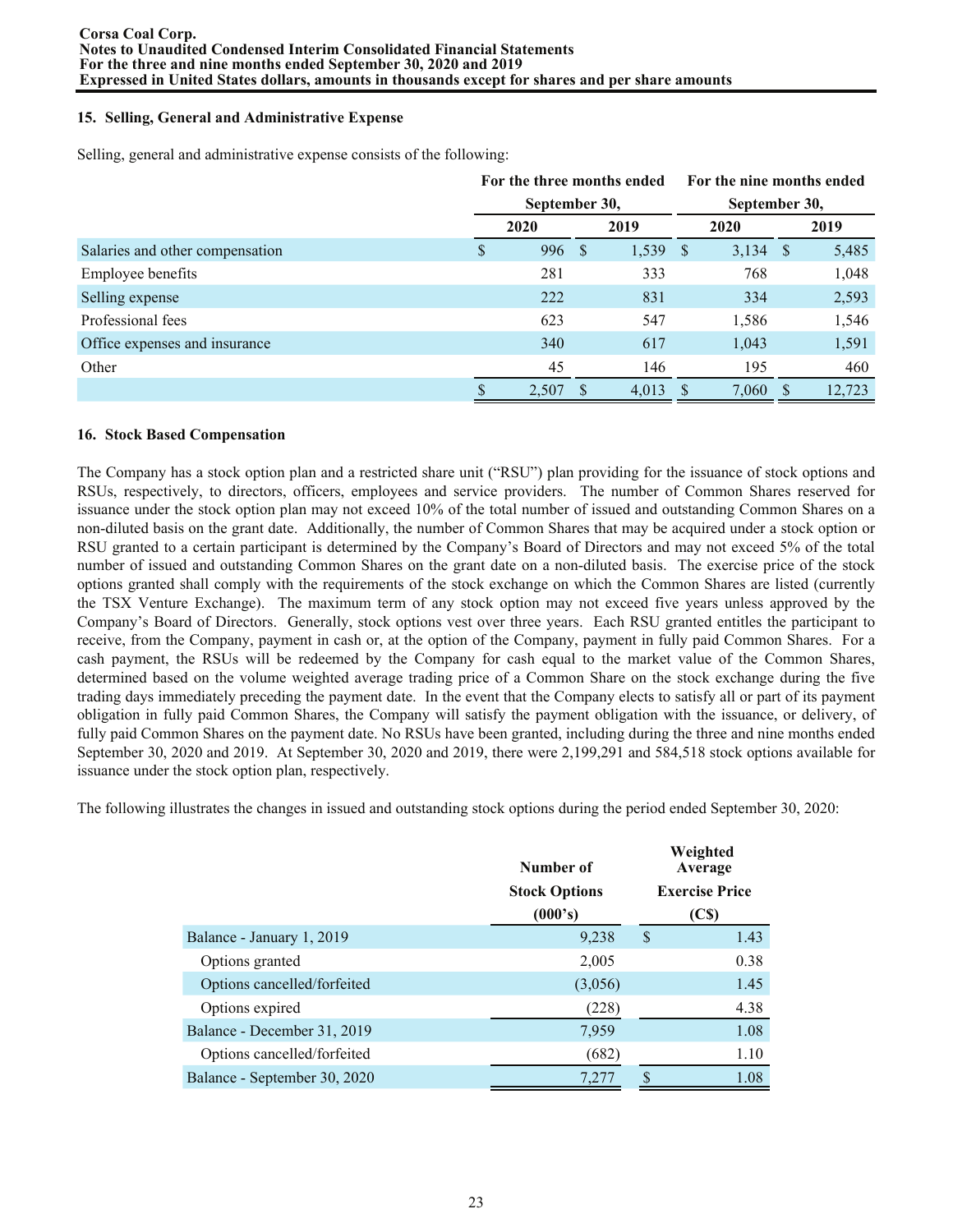## **15. Selling, General and Administrative Expense**

Selling, general and administrative expense consists of the following:

|                                 | For the three months ended |               |     |            | For the nine months ended |               |  |        |  |
|---------------------------------|----------------------------|---------------|-----|------------|---------------------------|---------------|--|--------|--|
|                                 |                            | September 30, |     |            |                           | September 30, |  |        |  |
|                                 |                            | 2020          |     | 2019       |                           | 2020          |  | 2019   |  |
| Salaries and other compensation | S                          | 996           | -S  | $1,539$ \$ |                           | $3,134$ \$    |  | 5,485  |  |
| Employee benefits               |                            | 281           |     | 333        |                           | 768           |  | 1,048  |  |
| Selling expense                 |                            | 222           |     | 831        |                           | 334           |  | 2,593  |  |
| Professional fees               |                            | 623           |     | 547        |                           | 1,586         |  | 1,546  |  |
| Office expenses and insurance   |                            | 340           |     | 617        |                           | 1,043         |  | 1,591  |  |
| Other                           |                            | 45            |     | 146        |                           | 195           |  | 460    |  |
|                                 |                            | 2,507         | \$. | 4,013      |                           | 7,060         |  | 12,723 |  |

#### **16. Stock Based Compensation**

The Company has a stock option plan and a restricted share unit ("RSU") plan providing for the issuance of stock options and RSUs, respectively, to directors, officers, employees and service providers. The number of Common Shares reserved for issuance under the stock option plan may not exceed 10% of the total number of issued and outstanding Common Shares on a non-diluted basis on the grant date. Additionally, the number of Common Shares that may be acquired under a stock option or RSU granted to a certain participant is determined by the Company's Board of Directors and may not exceed 5% of the total number of issued and outstanding Common Shares on the grant date on a non-diluted basis. The exercise price of the stock options granted shall comply with the requirements of the stock exchange on which the Common Shares are listed (currently the TSX Venture Exchange). The maximum term of any stock option may not exceed five years unless approved by the Company's Board of Directors. Generally, stock options vest over three years. Each RSU granted entitles the participant to receive, from the Company, payment in cash or, at the option of the Company, payment in fully paid Common Shares. For a cash payment, the RSUs will be redeemed by the Company for cash equal to the market value of the Common Shares, determined based on the volume weighted average trading price of a Common Share on the stock exchange during the five trading days immediately preceding the payment date. In the event that the Company elects to satisfy all or part of its payment obligation in fully paid Common Shares, the Company will satisfy the payment obligation with the issuance, or delivery, of fully paid Common Shares on the payment date. No RSUs have been granted, including during the three and nine months ended September 30, 2020 and 2019. At September 30, 2020 and 2019, there were 2,199,291 and 584,518 stock options available for issuance under the stock option plan, respectively.

The following illustrates the changes in issued and outstanding stock options during the period ended September 30, 2020:

|                              | Number of            | Weighted<br>Average   |
|------------------------------|----------------------|-----------------------|
|                              | <b>Stock Options</b> | <b>Exercise Price</b> |
|                              | (000's)              | (C\$)                 |
| Balance - January 1, 2019    | 9,238                | \$<br>1.43            |
| Options granted              | 2,005                | 0.38                  |
| Options cancelled/forfeited  | (3,056)              | 1.45                  |
| Options expired              | (228)                | 4.38                  |
| Balance - December 31, 2019  | 7,959                | 1.08                  |
| Options cancelled/forfeited  | (682)                | 1.10                  |
| Balance - September 30, 2020 | 7,277                | 1.08<br>S             |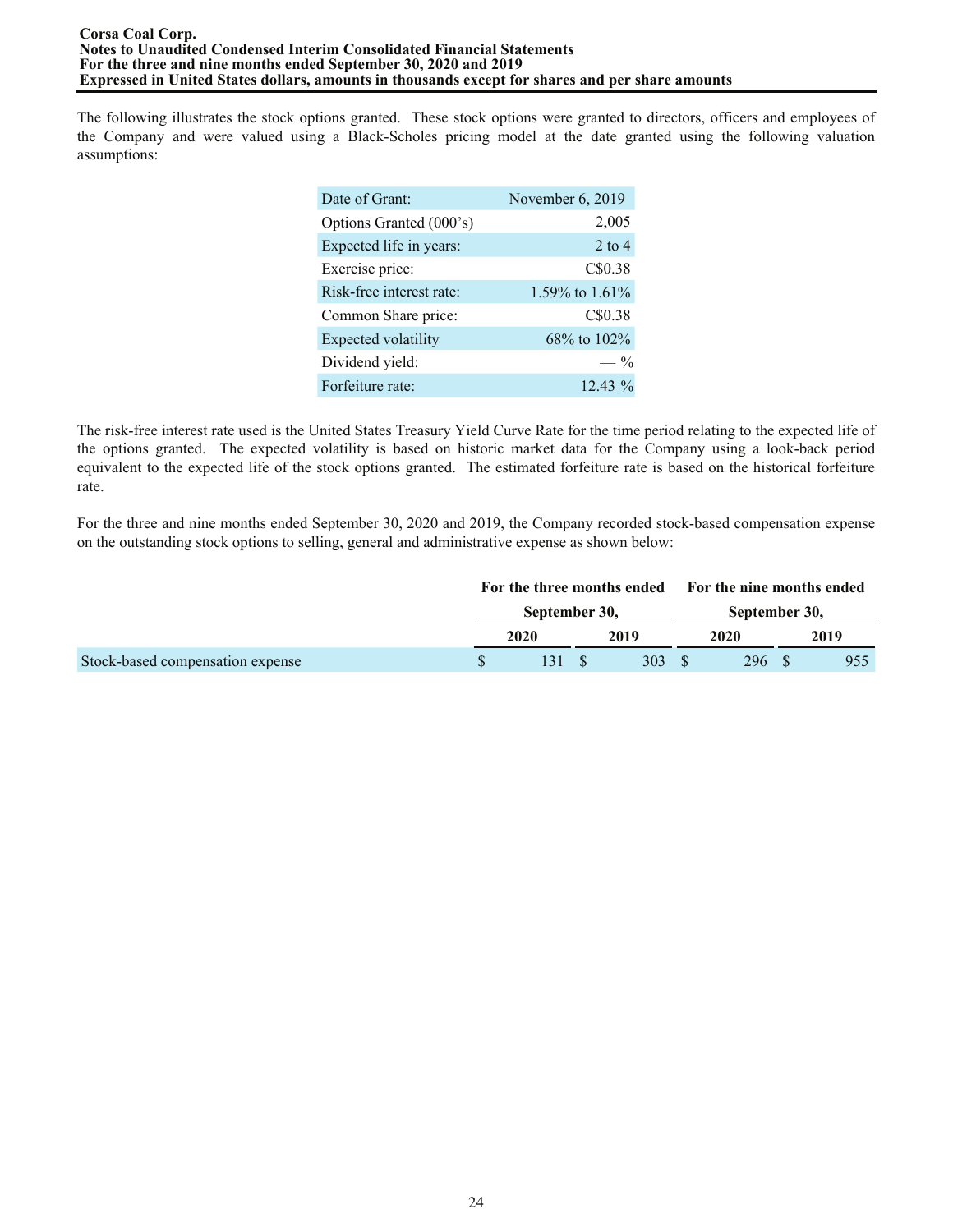The following illustrates the stock options granted. These stock options were granted to directors, officers and employees of the Company and were valued using a Black-Scholes pricing model at the date granted using the following valuation assumptions:

| Date of Grant:           | November 6, 2019  |
|--------------------------|-------------------|
| Options Granted (000's)  | 2,005             |
| Expected life in years:  | $2$ to 4          |
| Exercise price:          | C\$0.38           |
| Risk-free interest rate: | 1.59% to $1.61\%$ |
| Common Share price:      | C\$0.38           |
| Expected volatility      | 68% to 102%       |
| Dividend yield:          | $\frac{0}{0}$     |
| Forfeiture rate:         | $12.43\%$         |

The risk-free interest rate used is the United States Treasury Yield Curve Rate for the time period relating to the expected life of the options granted. The expected volatility is based on historic market data for the Company using a look-back period equivalent to the expected life of the stock options granted. The estimated forfeiture rate is based on the historical forfeiture rate.

For the three and nine months ended September 30, 2020 and 2019, the Company recorded stock-based compensation expense on the outstanding stock options to selling, general and administrative expense as shown below:

|                                  |               |      | For the three months ended For the nine months ended |      |
|----------------------------------|---------------|------|------------------------------------------------------|------|
|                                  | September 30, |      | September 30,                                        |      |
|                                  | 2020          | 2019 | 2020                                                 | 2019 |
| Stock-based compensation expense | 131 S         | 303  | 296                                                  | 955  |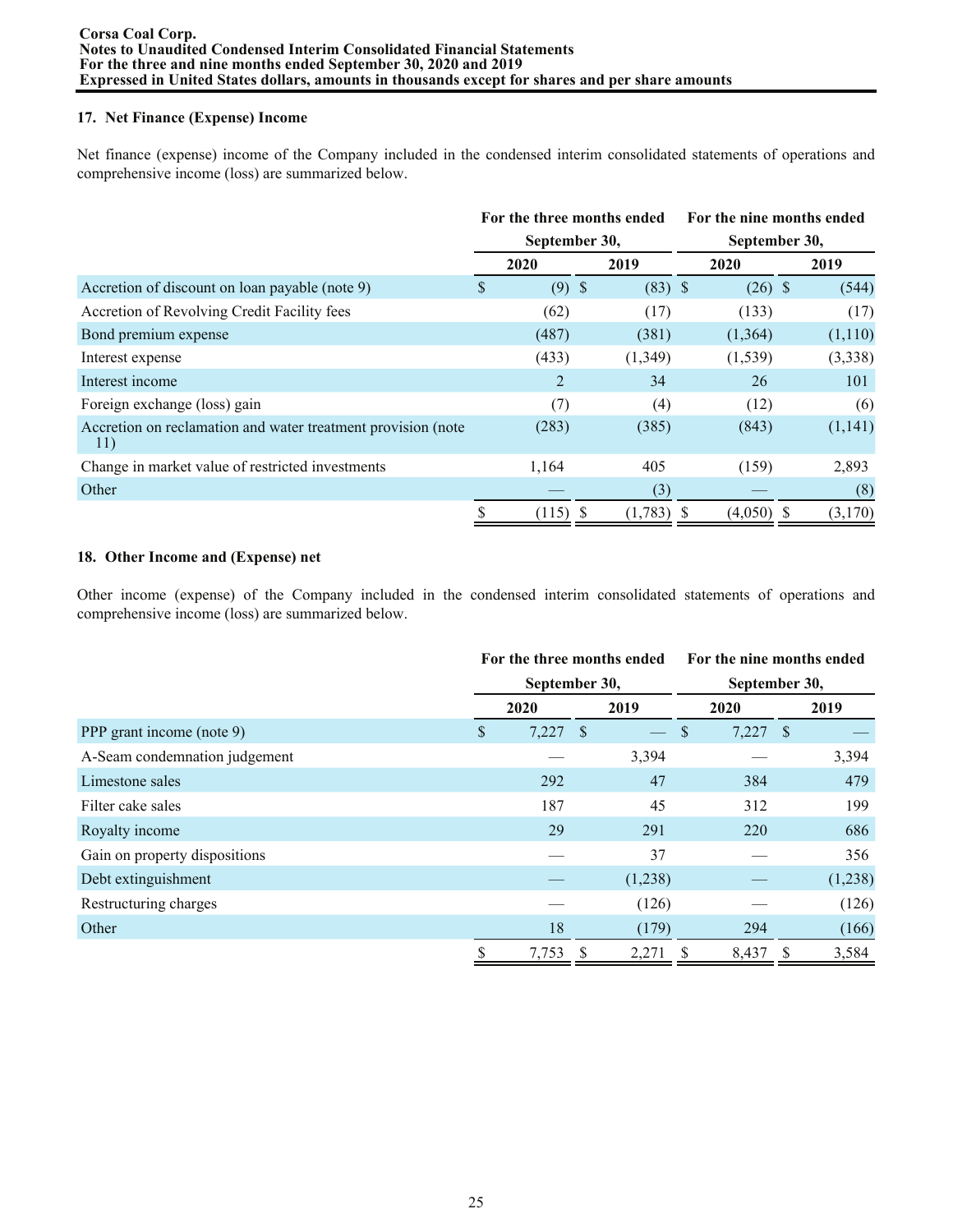# **17. Net Finance (Expense) Income**

Net finance (expense) income of the Company included in the condensed interim consolidated statements of operations and comprehensive income (loss) are summarized below.

|                                                                     | For the three months ended |       |               |              |               | For the nine months ended |  |         |  |  |  |
|---------------------------------------------------------------------|----------------------------|-------|---------------|--------------|---------------|---------------------------|--|---------|--|--|--|
|                                                                     | September 30,              |       |               |              | September 30, |                           |  |         |  |  |  |
|                                                                     |                            | 2020  |               | 2019         |               | 2020                      |  | 2019    |  |  |  |
| Accretion of discount on loan payable (note 9)                      | \$                         | (9)   | $\mathcal{S}$ | $(83)$ \$    |               | $(26)$ \$                 |  | (544)   |  |  |  |
| Accretion of Revolving Credit Facility fees                         |                            | (62)  |               | (17)         |               | (133)                     |  | (17)    |  |  |  |
| Bond premium expense                                                |                            | (487) |               | (381)        |               | (1,364)                   |  | (1,110) |  |  |  |
| Interest expense                                                    |                            | (433) |               | (1,349)      |               | (1, 539)                  |  | (3,338) |  |  |  |
| Interest income                                                     |                            | 2     |               | 34           |               | 26                        |  | 101     |  |  |  |
| Foreign exchange (loss) gain                                        |                            | (7)   |               | (4)          |               | (12)                      |  | (6)     |  |  |  |
| Accretion on reclamation and water treatment provision (note<br>11) |                            | (283) |               | (385)        |               | (843)                     |  | (1,141) |  |  |  |
| Change in market value of restricted investments                    |                            | 1,164 |               | 405          |               | (159)                     |  | 2,893   |  |  |  |
| Other                                                               |                            |       |               | (3)          |               |                           |  | (8)     |  |  |  |
|                                                                     | \$                         | (115) |               | $(1,783)$ \$ |               | (4,050)                   |  | (3,170) |  |  |  |

# **18. Other Income and (Expense) net**

Other income (expense) of the Company included in the condensed interim consolidated statements of operations and comprehensive income (loss) are summarized below.

|                               |             | For the three months ended |               | For the nine months ended |   |         |  |  |
|-------------------------------|-------------|----------------------------|---------------|---------------------------|---|---------|--|--|
|                               |             | September 30,              |               | September 30,             |   |         |  |  |
|                               | 2020        | 2019                       |               | 2020                      |   | 2019    |  |  |
| PPP grant income (note 9)     | \$<br>7,227 | $\mathbb{S}$               | <sup>\$</sup> | $7,227$ \$                |   |         |  |  |
| A-Seam condemnation judgement |             | 3,394                      |               |                           |   | 3,394   |  |  |
| Limestone sales               | 292         | 47                         |               | 384                       |   | 479     |  |  |
| Filter cake sales             | 187         | 45                         |               | 312                       |   | 199     |  |  |
| Royalty income                | 29          | 291                        |               | 220                       |   | 686     |  |  |
| Gain on property dispositions |             | 37                         |               |                           |   | 356     |  |  |
| Debt extinguishment           |             | (1,238)                    |               |                           |   | (1,238) |  |  |
| Restructuring charges         |             | (126)                      |               |                           |   | (126)   |  |  |
| Other                         | 18          | (179)                      |               | 294                       |   | (166)   |  |  |
|                               | \$<br>7,753 | S<br>2,271                 |               | 8,437                     | S | 3,584   |  |  |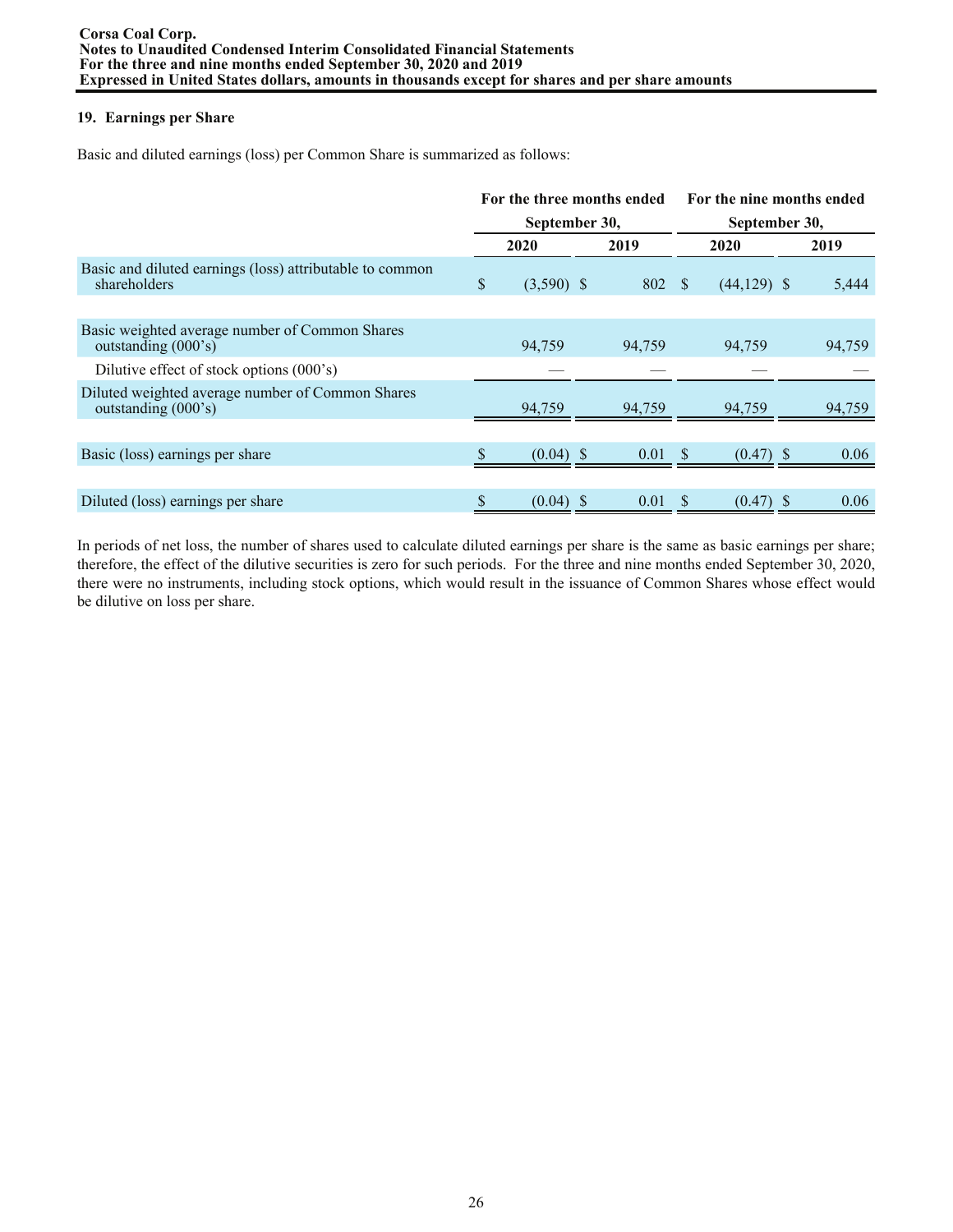# **19. Earnings per Share**

Basic and diluted earnings (loss) per Common Share is summarized as follows:

|                                                                                 | For the three months ended<br>September 30, |              |    |        |          | For the nine months ended<br>September 30, |  |        |  |  |
|---------------------------------------------------------------------------------|---------------------------------------------|--------------|----|--------|----------|--------------------------------------------|--|--------|--|--|
|                                                                                 |                                             |              |    |        |          |                                            |  |        |  |  |
|                                                                                 |                                             | 2020         |    | 2019   |          | 2020                                       |  | 2019   |  |  |
| Basic and diluted earnings (loss) attributable to common<br>shareholders        | \$                                          | $(3,590)$ \$ |    | 802 \$ |          | $(44,129)$ \$                              |  | 5,444  |  |  |
|                                                                                 |                                             |              |    |        |          |                                            |  |        |  |  |
| Basic weighted average number of Common Shares<br>outstanding $(000 \text{ s})$ |                                             | 94,759       |    | 94,759 |          | 94,759                                     |  | 94,759 |  |  |
| Dilutive effect of stock options (000's)                                        |                                             |              |    |        |          |                                            |  |        |  |  |
| Diluted weighted average number of Common Shares<br>outstanding (000's)         |                                             | 94,759       |    | 94,759 |          | 94,759                                     |  | 94,759 |  |  |
|                                                                                 |                                             |              |    |        |          |                                            |  |        |  |  |
| Basic (loss) earnings per share                                                 |                                             | $(0.04)$ \$  |    | 0.01   | <b>S</b> | $(0.47)$ \$                                |  | 0.06   |  |  |
|                                                                                 |                                             |              |    |        |          |                                            |  |        |  |  |
| Diluted (loss) earnings per share                                               | \$                                          | (0.04)       | -S | 0.01   |          | $(0.47)$ \$                                |  | 0.06   |  |  |

In periods of net loss, the number of shares used to calculate diluted earnings per share is the same as basic earnings per share; therefore, the effect of the dilutive securities is zero for such periods. For the three and nine months ended September 30, 2020, there were no instruments, including stock options, which would result in the issuance of Common Shares whose effect would be dilutive on loss per share.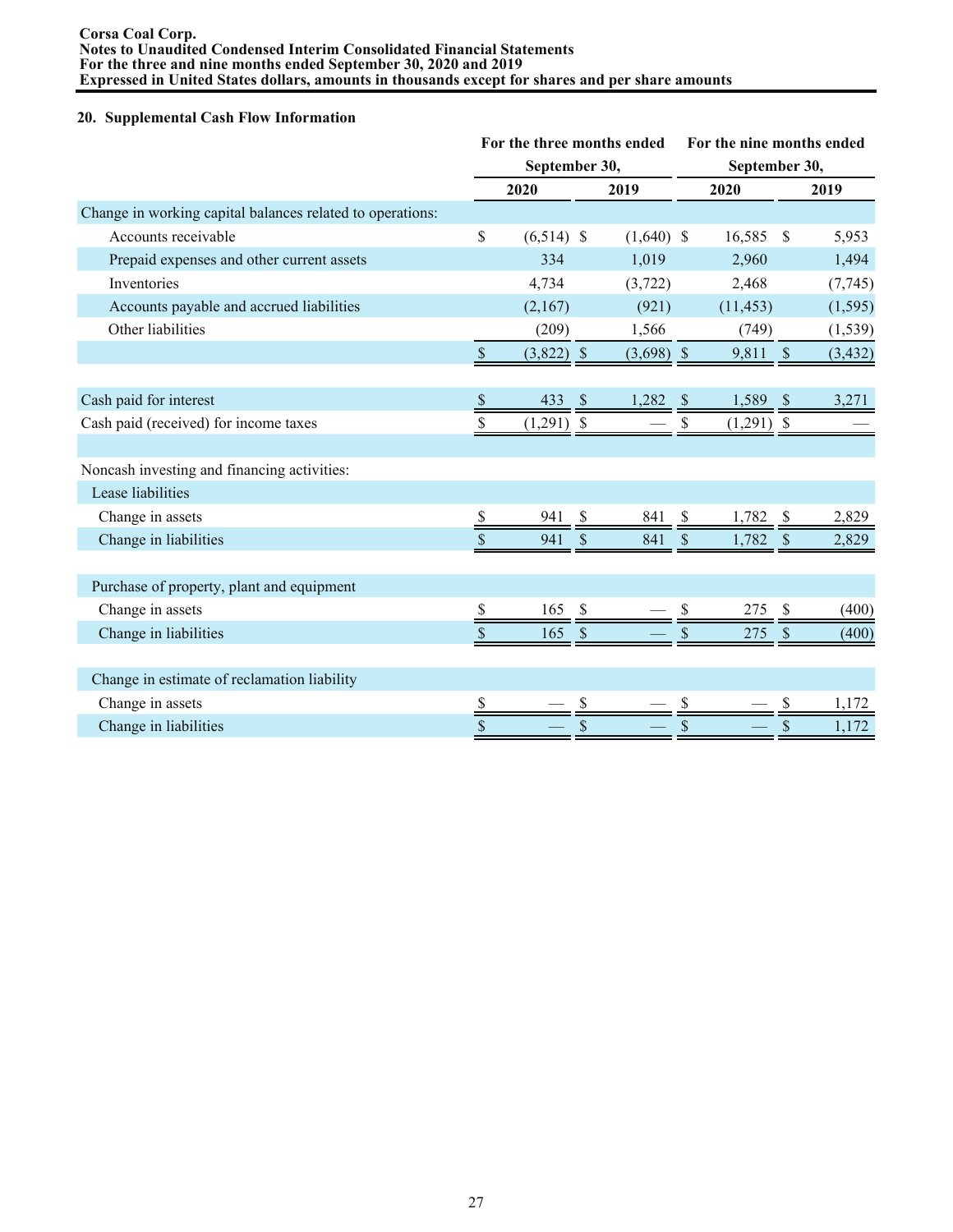### **20. Supplemental Cash Flow Information**

|                                                           | For the three months ended |               |                     |               | For the nine months ended |               |          |  |  |
|-----------------------------------------------------------|----------------------------|---------------|---------------------|---------------|---------------------------|---------------|----------|--|--|
|                                                           |                            | September 30, |                     |               | September 30,             |               |          |  |  |
|                                                           |                            | 2020          | 2019                |               | 2020                      |               | 2019     |  |  |
| Change in working capital balances related to operations: |                            |               |                     |               |                           |               |          |  |  |
| Accounts receivable                                       | \$                         | $(6,514)$ \$  | $(1,640)$ \$        |               | 16,585                    | \$            | 5,953    |  |  |
| Prepaid expenses and other current assets                 |                            | 334           | 1,019               |               | 2,960                     |               | 1,494    |  |  |
| <b>Inventories</b>                                        |                            | 4,734         | (3, 722)            |               | 2,468                     |               | (7, 745) |  |  |
| Accounts payable and accrued liabilities                  |                            | (2,167)       | (921)               |               | (11, 453)                 |               | (1, 595) |  |  |
| Other liabilities                                         |                            | (209)         | 1,566               |               | (749)                     |               | (1, 539) |  |  |
|                                                           | $\$$                       | $(3,822)$ \$  | $(3,698)$ \$        |               | 9,811                     | $\mathcal{S}$ | (3, 432) |  |  |
|                                                           |                            |               |                     |               |                           |               |          |  |  |
| Cash paid for interest                                    | $\mathbb S$                | 433           | 1,282<br>S          | S             | 1,589                     | $\mathcal{S}$ | 3,271    |  |  |
| Cash paid (received) for income taxes                     | \$                         | $(1,291)$ \$  |                     |               | $(1,291)$ \$              |               |          |  |  |
|                                                           |                            |               |                     |               |                           |               |          |  |  |
| Noncash investing and financing activities:               |                            |               |                     |               |                           |               |          |  |  |
| Lease liabilities                                         |                            |               |                     |               |                           |               |          |  |  |
| Change in assets                                          | S                          | 941           | 841<br><sup>S</sup> | <sup>\$</sup> | 1,782                     | \$            | 2,829    |  |  |
| Change in liabilities                                     | $\mathcal{S}$              | 941           | \$<br>841           | $\mathcal{S}$ | 1,782                     | $\mathcal{S}$ | 2,829    |  |  |
|                                                           |                            |               |                     |               |                           |               |          |  |  |
| Purchase of property, plant and equipment                 |                            |               |                     |               |                           |               |          |  |  |
| Change in assets                                          | \$                         | 165           | $\mathcal{S}$       |               | 275                       | $\mathbb{S}$  | (400)    |  |  |
| Change in liabilities                                     | \$                         | 165           | $\mathcal{S}$       |               | 275                       | \$            | (400)    |  |  |
|                                                           |                            |               |                     |               |                           |               |          |  |  |
| Change in estimate of reclamation liability               |                            |               |                     |               |                           |               |          |  |  |
| Change in assets                                          | \$                         |               | \$                  |               |                           | \$            | 1.172    |  |  |
| Change in liabilities                                     | $\mathsf{\$}$              |               | $\mathbb{S}$        | \$            |                           | \$            | 1,172    |  |  |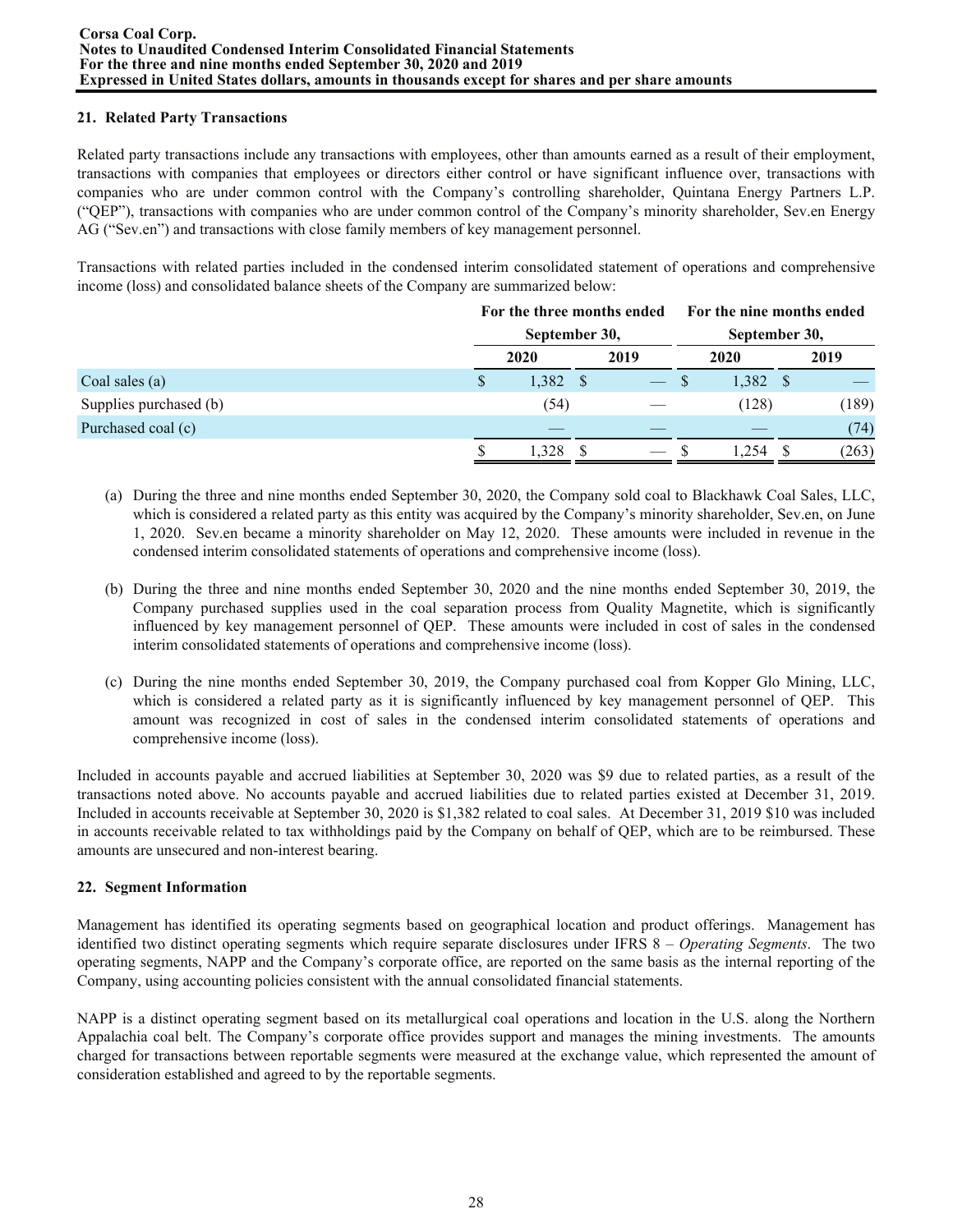# **21. Related Party Transactions**

Related party transactions include any transactions with employees, other than amounts earned as a result of their employment, transactions with companies that employees or directors either control or have significant influence over, transactions with companies who are under common control with the Company's controlling shareholder, Quintana Energy Partners L.P. ("QEP"), transactions with companies who are under common control of the Company's minority shareholder, Sev.en Energy AG ("Sev.en") and transactions with close family members of key management personnel.

Transactions with related parties included in the condensed interim consolidated statement of operations and comprehensive income (loss) and consolidated balance sheets of the Company are summarized below:

|                        |              | For the three months ended<br>September 30, |              |  | For the nine months ended |       |  |       |
|------------------------|--------------|---------------------------------------------|--------------|--|---------------------------|-------|--|-------|
|                        |              |                                             |              |  | September 30,             |       |  |       |
|                        |              | 2020                                        | 2019         |  |                           | 2020  |  | 2019  |
| Coal sales $(a)$       | <sup>S</sup> | 1,382                                       | <sup>S</sup> |  |                           | 1,382 |  |       |
| Supplies purchased (b) |              | (54)                                        |              |  |                           | (128) |  | (189) |
| Purchased coal (c)     |              |                                             |              |  |                           |       |  | (74)  |
|                        |              | 1,328                                       |              |  |                           | .254  |  | (263) |

- (a) During the three and nine months ended September 30, 2020, the Company sold coal to Blackhawk Coal Sales, LLC, which is considered a related party as this entity was acquired by the Company's minority shareholder, Sev.en, on June 1, 2020. Sev.en became a minority shareholder on May 12, 2020. These amounts were included in revenue in the condensed interim consolidated statements of operations and comprehensive income (loss).
- (b) During the three and nine months ended September 30, 2020 and the nine months ended September 30, 2019, the Company purchased supplies used in the coal separation process from Quality Magnetite, which is significantly influenced by key management personnel of QEP. These amounts were included in cost of sales in the condensed interim consolidated statements of operations and comprehensive income (loss).
- (c) During the nine months ended September 30, 2019, the Company purchased coal from Kopper Glo Mining, LLC, which is considered a related party as it is significantly influenced by key management personnel of QEP. This amount was recognized in cost of sales in the condensed interim consolidated statements of operations and comprehensive income (loss).

Included in accounts payable and accrued liabilities at September 30, 2020 was \$9 due to related parties, as a result of the transactions noted above. No accounts payable and accrued liabilities due to related parties existed at December 31, 2019. Included in accounts receivable at September 30, 2020 is \$1,382 related to coal sales. At December 31, 2019 \$10 was included in accounts receivable related to tax withholdings paid by the Company on behalf of QEP, which are to be reimbursed. These amounts are unsecured and non-interest bearing.

# **22. Segment Information**

Management has identified its operating segments based on geographical location and product offerings. Management has identified two distinct operating segments which require separate disclosures under IFRS 8 – *Operating Segments*. The two operating segments, NAPP and the Company's corporate office, are reported on the same basis as the internal reporting of the Company, using accounting policies consistent with the annual consolidated financial statements.

NAPP is a distinct operating segment based on its metallurgical coal operations and location in the U.S. along the Northern Appalachia coal belt. The Company's corporate office provides support and manages the mining investments. The amounts charged for transactions between reportable segments were measured at the exchange value, which represented the amount of consideration established and agreed to by the reportable segments.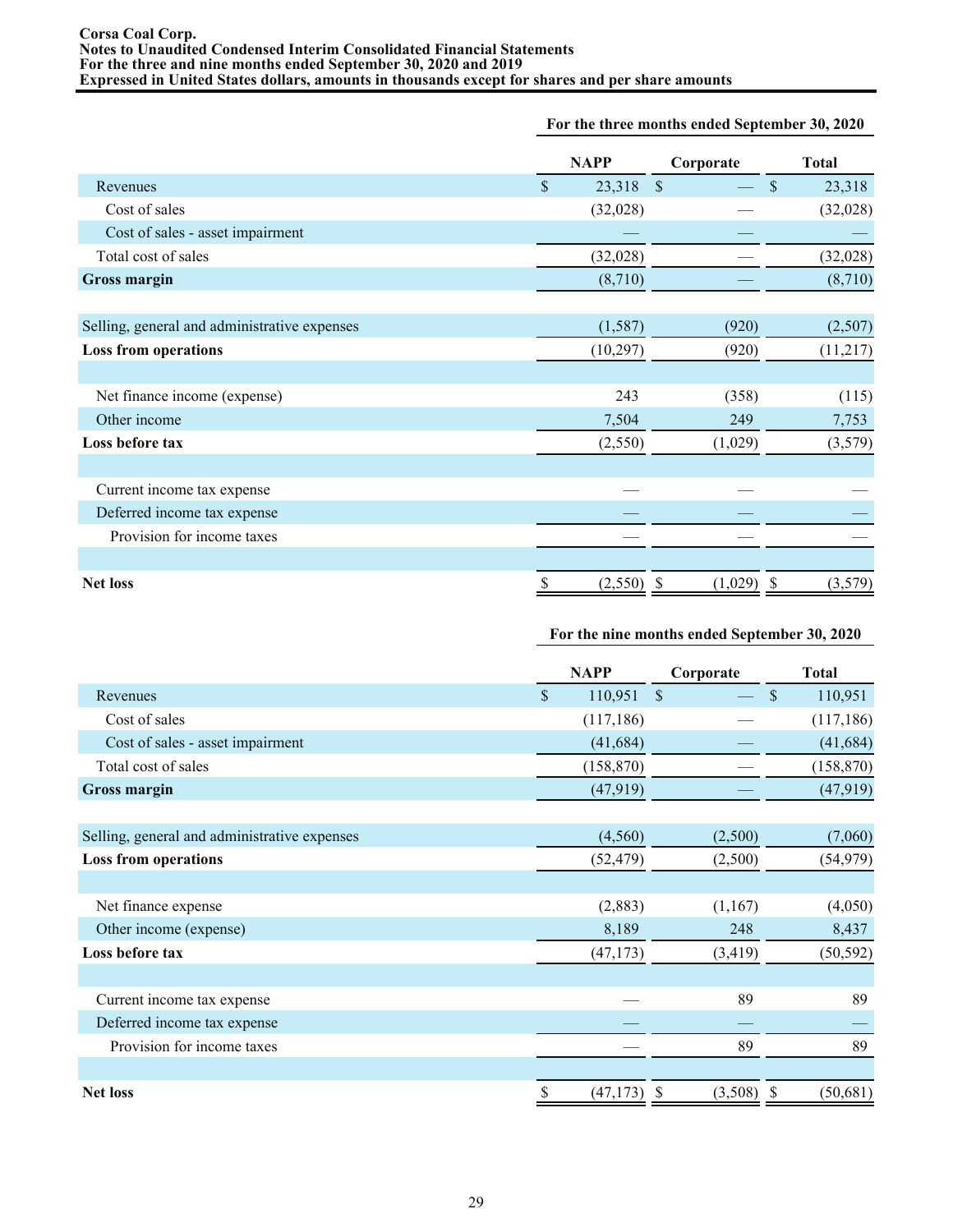### **For the three months ended September 30, 2020**

|                                              |                    | <b>NAPP</b> | Corporate               | <b>Total</b>            |  |
|----------------------------------------------|--------------------|-------------|-------------------------|-------------------------|--|
| Revenues                                     | $\mathbf{\hat{S}}$ | 23,318      | $\mathcal{S}$           | \$<br>23,318            |  |
| Cost of sales                                |                    | (32,028)    |                         | (32,028)                |  |
| Cost of sales - asset impairment             |                    |             |                         |                         |  |
| Total cost of sales                          |                    | (32, 028)   |                         | (32, 028)               |  |
| Gross margin                                 |                    | (8,710)     |                         | (8,710)                 |  |
|                                              |                    |             |                         |                         |  |
| Selling, general and administrative expenses |                    | (1, 587)    | (920)                   | (2,507)                 |  |
| <b>Loss from operations</b>                  |                    | (10, 297)   | (920)                   | (11, 217)               |  |
|                                              |                    |             |                         |                         |  |
| Net finance income (expense)                 |                    | 243         | (358)                   | (115)                   |  |
| Other income                                 |                    | 7,504       | 249                     | 7,753                   |  |
| Loss before tax                              |                    | (2,550)     | (1,029)                 | (3,579)                 |  |
|                                              |                    |             |                         |                         |  |
| Current income tax expense                   |                    |             |                         |                         |  |
| Deferred income tax expense                  |                    |             |                         |                         |  |
| Provision for income taxes                   |                    |             |                         |                         |  |
|                                              |                    |             |                         |                         |  |
| <b>Net loss</b>                              | \$                 | (2,550)     | (1,029)<br><sup>2</sup> | (3,579)<br><sup>2</sup> |  |

# **For the nine months ended September 30, 2020**

|                                              | <b>NAPP</b>  |            | Corporate         | <b>Total</b>  |  |
|----------------------------------------------|--------------|------------|-------------------|---------------|--|
| Revenues                                     | $\mathbb{S}$ | 110,951    | $\mathcal{S}$     | \$<br>110,951 |  |
| Cost of sales                                |              | (117, 186) |                   | (117, 186)    |  |
| Cost of sales - asset impairment             |              | (41, 684)  |                   | (41, 684)     |  |
| Total cost of sales                          |              | (158, 870) |                   | (158, 870)    |  |
| Gross margin                                 |              | (47, 919)  |                   | (47, 919)     |  |
|                                              |              |            |                   |               |  |
| Selling, general and administrative expenses |              | (4,560)    | (2,500)           | (7,060)       |  |
| <b>Loss from operations</b>                  |              | (52, 479)  | (2,500)           | (54, 979)     |  |
|                                              |              |            |                   |               |  |
| Net finance expense                          |              | (2,883)    | (1,167)           | (4,050)       |  |
| Other income (expense)                       |              | 8,189      | 248               | 8,437         |  |
| Loss before tax                              |              | (47, 173)  | (3, 419)          | (50, 592)     |  |
|                                              |              |            |                   |               |  |
| Current income tax expense                   |              |            | 89                | 89            |  |
| Deferred income tax expense                  |              |            |                   |               |  |
| Provision for income taxes                   |              |            | 89                | 89            |  |
|                                              |              |            |                   |               |  |
| <b>Net loss</b>                              | \$           | (47, 173)  | $(3,508)$ \$<br>S | (50, 681)     |  |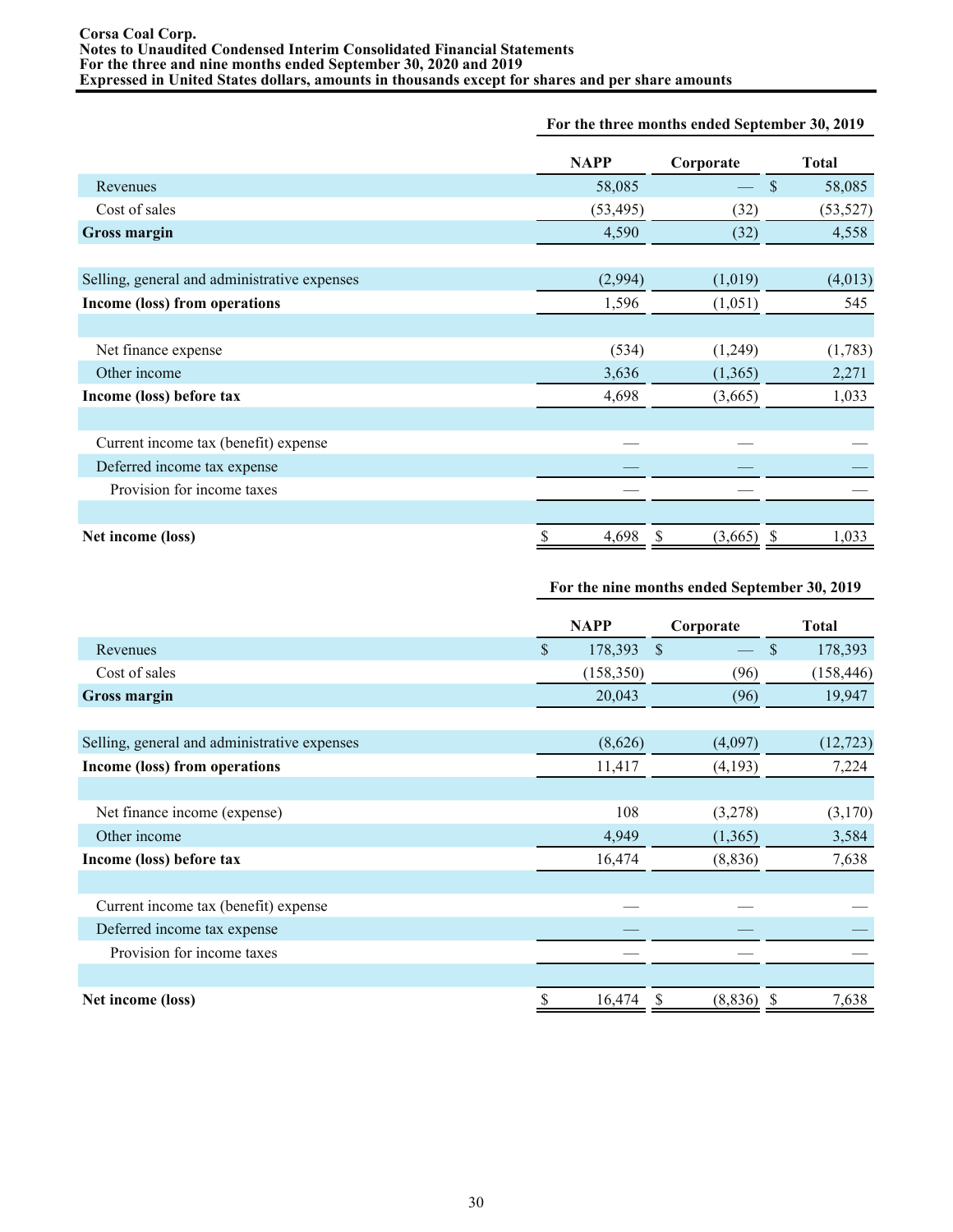|                                              | <b>NAPP</b> | Corporate    | <b>Total</b> |
|----------------------------------------------|-------------|--------------|--------------|
| Revenues                                     | 58,085      |              | \$<br>58,085 |
| Cost of sales                                | (53, 495)   | (32)         | (53, 527)    |
| <b>Gross margin</b>                          | 4,590       | (32)         | 4,558        |
|                                              |             |              |              |
| Selling, general and administrative expenses | (2,994)     | (1,019)      | (4,013)      |
| Income (loss) from operations                | 1,596       | (1,051)      | 545          |
|                                              |             |              |              |
| Net finance expense                          | (534)       | (1,249)      | (1,783)      |
| Other income                                 | 3,636       | (1,365)      | 2,271        |
| Income (loss) before tax                     | 4,698       | (3,665)      | 1,033        |
|                                              |             |              |              |
| Current income tax (benefit) expense         |             |              |              |
| Deferred income tax expense                  |             |              |              |
| Provision for income taxes                   |             |              |              |
|                                              |             |              |              |
| Net income (loss)                            | \$<br>4,698 | (3,665)<br>S | 1,033<br>-S  |

### **For the three months ended September 30, 2019**

# **For the nine months ended September 30, 2019**

|                                              |               | <b>NAPP</b> | Corporate     |    | <b>Total</b> |
|----------------------------------------------|---------------|-------------|---------------|----|--------------|
| Revenues                                     | $\mathsf{\$}$ | 178,393     | $\mathcal{S}$ | \$ | 178,393      |
| Cost of sales                                |               | (158, 350)  | (96)          |    | (158, 446)   |
| <b>Gross margin</b>                          |               | 20,043      | (96)          |    | 19,947       |
|                                              |               |             |               |    |              |
| Selling, general and administrative expenses |               | (8,626)     | (4,097)       |    | (12, 723)    |
| Income (loss) from operations                |               | 11,417      | (4,193)       |    | 7,224        |
|                                              |               |             |               |    |              |
| Net finance income (expense)                 |               | 108         | (3,278)       |    | (3,170)      |
| Other income                                 |               | 4,949       | (1,365)       |    | 3,584        |
| Income (loss) before tax                     |               | 16,474      | (8, 836)      |    | 7,638        |
|                                              |               |             |               |    |              |
| Current income tax (benefit) expense         |               |             |               |    |              |
| Deferred income tax expense                  |               |             |               |    |              |
| Provision for income taxes                   |               |             |               |    |              |
|                                              |               |             |               |    |              |
| Net income (loss)                            |               | 16,474      | (8, 836)      | -S | 7,638        |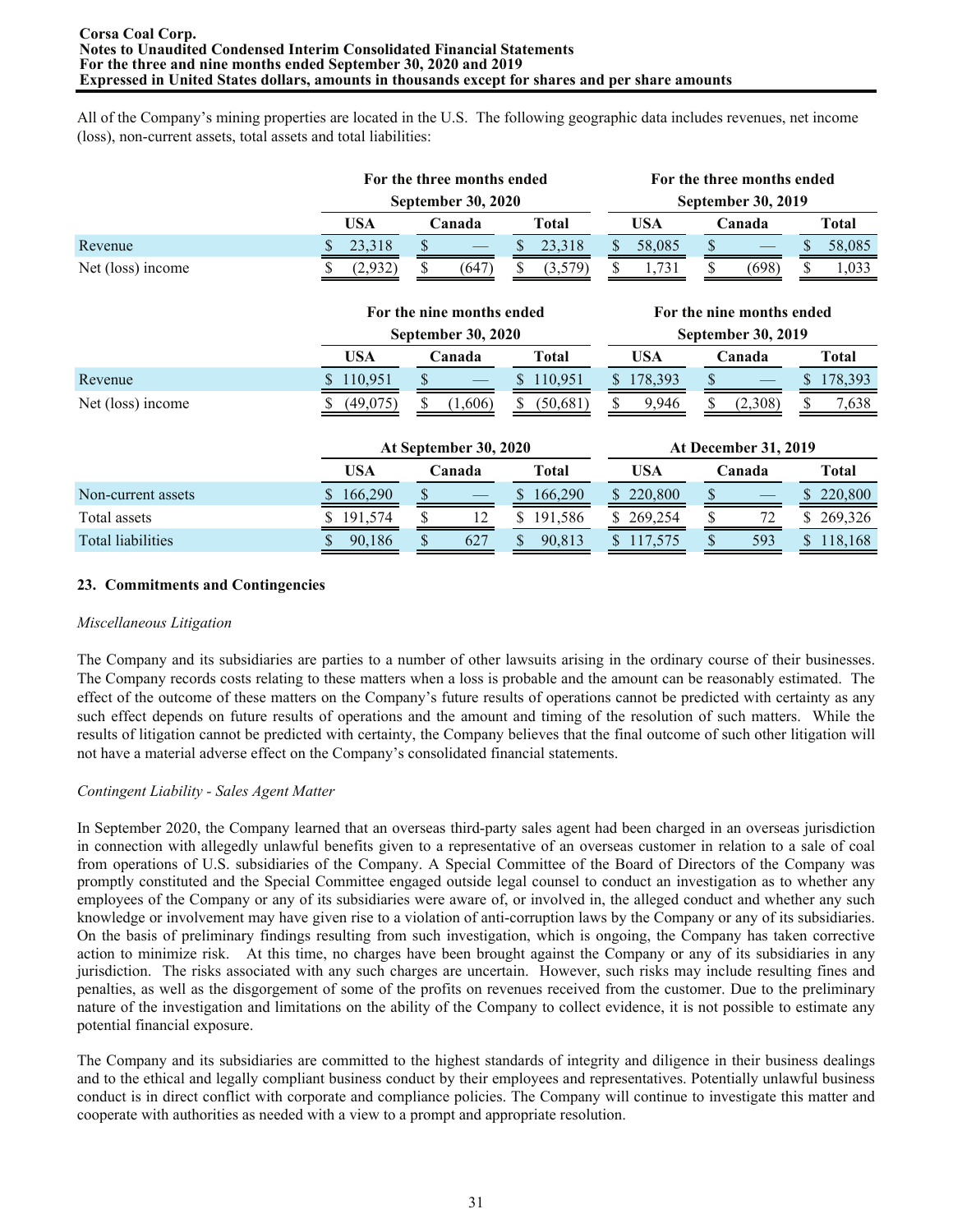All of the Company's mining properties are located in the U.S. The following geographic data includes revenues, net income (loss), non-current assets, total assets and total liabilities:

|                          | For the three months ended<br><b>September 30, 2020</b> |                           | For the three months ended<br><b>September 30, 2019</b> |               |                           |              |  |
|--------------------------|---------------------------------------------------------|---------------------------|---------------------------------------------------------|---------------|---------------------------|--------------|--|
|                          | USA                                                     | Canada                    | <b>Total</b>                                            | <b>USA</b>    | Canada                    | <b>Total</b> |  |
| Revenue                  | 23,318                                                  |                           | S<br>23,318                                             | 58,085        |                           | 58,085       |  |
| Net (loss) income        | (2,932)                                                 | (647)<br>S                | (3,579)                                                 | \$<br>1,731   | (698)                     | 1,033        |  |
|                          |                                                         | For the nine months ended |                                                         |               | For the nine months ended |              |  |
|                          | <b>September 30, 2020</b>                               |                           |                                                         |               | <b>September 30, 2019</b> |              |  |
|                          | <b>USA</b>                                              | Canada                    | <b>Total</b>                                            | <b>USA</b>    | Canada                    | <b>Total</b> |  |
| Revenue                  | 110,951<br>S                                            |                           | \$ 110,951                                              | 178,393       |                           | 178,393      |  |
| Net (loss) income        | (49,075)                                                | \$<br>(1,606)             | (50,681)<br>S.                                          | S<br>9,946    | (2,308)<br>S              | 7,638<br>Ж   |  |
|                          |                                                         | At September 30, 2020     |                                                         |               | At December 31, 2019      |              |  |
|                          | <b>USA</b>                                              | Canada                    | <b>Total</b>                                            | <b>USA</b>    | Canada                    | <b>Total</b> |  |
| Non-current assets       | 166,290                                                 |                           | 166,290<br>S.                                           | 220,800       | ĴЪ.                       | \$220,800    |  |
| Total assets             | 191,574                                                 | S<br>12                   | S.<br>191,586                                           | 269,254       | 72                        | \$269,326    |  |
| <b>Total liabilities</b> | 90,186                                                  | \$<br>627                 | 90,813                                                  | S.<br>117,575 | 593                       | \$118,168    |  |

# **23. Commitments and Contingencies**

# *Miscellaneous Litigation*

The Company and its subsidiaries are parties to a number of other lawsuits arising in the ordinary course of their businesses. The Company records costs relating to these matters when a loss is probable and the amount can be reasonably estimated. The effect of the outcome of these matters on the Company's future results of operations cannot be predicted with certainty as any such effect depends on future results of operations and the amount and timing of the resolution of such matters. While the results of litigation cannot be predicted with certainty, the Company believes that the final outcome of such other litigation will not have a material adverse effect on the Company's consolidated financial statements.

# *Contingent Liability - Sales Agent Matter*

In September 2020, the Company learned that an overseas third-party sales agent had been charged in an overseas jurisdiction in connection with allegedly unlawful benefits given to a representative of an overseas customer in relation to a sale of coal from operations of U.S. subsidiaries of the Company. A Special Committee of the Board of Directors of the Company was promptly constituted and the Special Committee engaged outside legal counsel to conduct an investigation as to whether any employees of the Company or any of its subsidiaries were aware of, or involved in, the alleged conduct and whether any such knowledge or involvement may have given rise to a violation of anti-corruption laws by the Company or any of its subsidiaries. On the basis of preliminary findings resulting from such investigation, which is ongoing, the Company has taken corrective action to minimize risk. At this time, no charges have been brought against the Company or any of its subsidiaries in any jurisdiction. The risks associated with any such charges are uncertain. However, such risks may include resulting fines and penalties, as well as the disgorgement of some of the profits on revenues received from the customer. Due to the preliminary nature of the investigation and limitations on the ability of the Company to collect evidence, it is not possible to estimate any potential financial exposure.

The Company and its subsidiaries are committed to the highest standards of integrity and diligence in their business dealings and to the ethical and legally compliant business conduct by their employees and representatives. Potentially unlawful business conduct is in direct conflict with corporate and compliance policies. The Company will continue to investigate this matter and cooperate with authorities as needed with a view to a prompt and appropriate resolution.